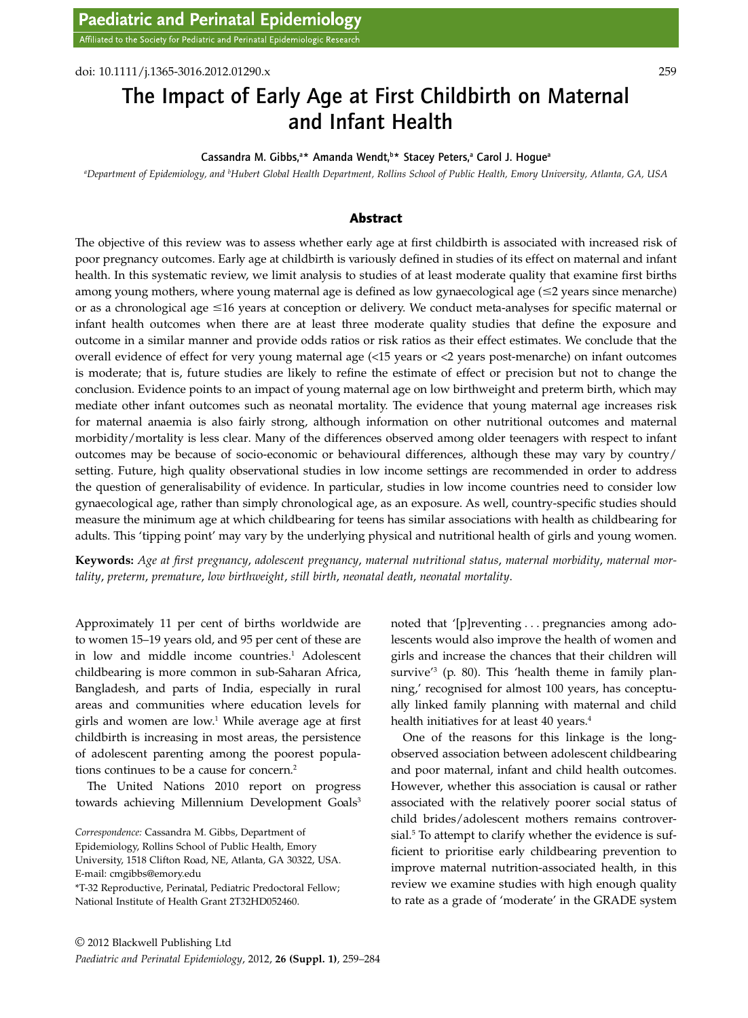doi: 10.1111/j.1365-3016.2012.01290.x 259

# The Impact of Early Age at First Childbirth on Maternal and Infant Health

#### Cassandra M. Gibbs,<sup>a\*</sup> Amanda Wendt,<sup>b\*</sup> Stacey Peters,<sup>a</sup> Carol J. Hoque<sup>a</sup>

*<sup>a</sup>Department of Epidemiology, and <sup>b</sup>Hubert Global Health Department, Rollins School of Public Health, Emory University, Atlanta, GA, USA*

## Abstract

The objective of this review was to assess whether early age at first childbirth is associated with increased risk of poor pregnancy outcomes. Early age at childbirth is variously defined in studies of its effect on maternal and infant health. In this systematic review, we limit analysis to studies of at least moderate quality that examine first births among young mothers, where young maternal age is defined as low gynaecological age ( $\leq$ 2 years since menarche) or as a chronological age  $\leq$ 16 years at conception or delivery. We conduct meta-analyses for specific maternal or infant health outcomes when there are at least three moderate quality studies that define the exposure and outcome in a similar manner and provide odds ratios or risk ratios as their effect estimates. We conclude that the overall evidence of effect for very young maternal age (<15 years or <2 years post-menarche) on infant outcomes is moderate; that is, future studies are likely to refine the estimate of effect or precision but not to change the conclusion. Evidence points to an impact of young maternal age on low birthweight and preterm birth, which may mediate other infant outcomes such as neonatal mortality. The evidence that young maternal age increases risk for maternal anaemia is also fairly strong, although information on other nutritional outcomes and maternal morbidity/mortality is less clear. Many of the differences observed among older teenagers with respect to infant outcomes may be because of socio-economic or behavioural differences, although these may vary by country/ setting. Future, high quality observational studies in low income settings are recommended in order to address the question of generalisability of evidence. In particular, studies in low income countries need to consider low gynaecological age, rather than simply chronological age, as an exposure. As well, country-specific studies should measure the minimum age at which childbearing for teens has similar associations with health as childbearing for adults. This 'tipping point' may vary by the underlying physical and nutritional health of girls and young women.

**Keywords:** *Age at first pregnancy*, *adolescent pregnancy*, *maternal nutritional status*, *maternal morbidity*, *maternal mortality*, *preterm*, *premature*, *low birthweight*, *still birth*, *neonatal death*, *neonatal mortality*.

Approximately 11 per cent of births worldwide are to women 15–19 years old, and 95 per cent of these are in low and middle income countries.<sup>1</sup> Adolescent childbearing is more common in sub-Saharan Africa, Bangladesh, and parts of India, especially in rural areas and communities where education levels for girls and women are  $low<sup>1</sup>$  While average age at first childbirth is increasing in most areas, the persistence of adolescent parenting among the poorest populations continues to be a cause for concern.<sup>2</sup>

The United Nations 2010 report on progress towards achieving Millennium Development Goals<sup>3</sup>

Epidemiology, Rollins School of Public Health, Emory University, 1518 Clifton Road, NE, Atlanta, GA 30322, USA.

\*T-32 Reproductive, Perinatal, Pediatric Predoctoral Fellow; National Institute of Health Grant 2T32HD052460.

noted that '[p]reventing... pregnancies among adolescents would also improve the health of women and girls and increase the chances that their children will survive'<sup>3</sup> (p. 80). This 'health theme in family planning,' recognised for almost 100 years, has conceptually linked family planning with maternal and child health initiatives for at least 40 years.<sup>4</sup>

One of the reasons for this linkage is the longobserved association between adolescent childbearing and poor maternal, infant and child health outcomes. However, whether this association is causal or rather associated with the relatively poorer social status of child brides/adolescent mothers remains controversial.<sup>5</sup> To attempt to clarify whether the evidence is sufficient to prioritise early childbearing prevention to improve maternal nutrition-associated health, in this review we examine studies with high enough quality to rate as a grade of 'moderate' in the GRADE system

*Correspondence:* Cassandra M. Gibbs, Department of

E-mail: cmgibbs@emory.edu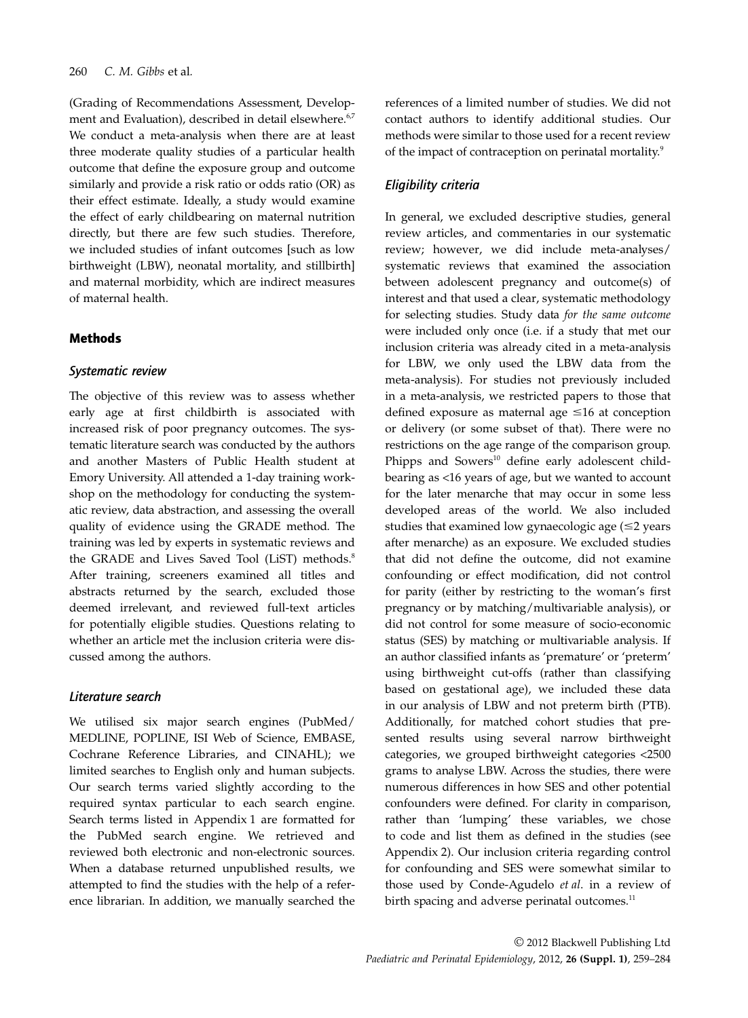(Grading of Recommendations Assessment, Development and Evaluation), described in detail elsewhere.<sup>6,7</sup> We conduct a meta-analysis when there are at least three moderate quality studies of a particular health outcome that define the exposure group and outcome similarly and provide a risk ratio or odds ratio (OR) as their effect estimate. Ideally, a study would examine the effect of early childbearing on maternal nutrition directly, but there are few such studies. Therefore, we included studies of infant outcomes [such as low birthweight (LBW), neonatal mortality, and stillbirth] and maternal morbidity, which are indirect measures of maternal health.

## Methods

## *Systematic review*

The objective of this review was to assess whether early age at first childbirth is associated with increased risk of poor pregnancy outcomes. The systematic literature search was conducted by the authors and another Masters of Public Health student at Emory University. All attended a 1-day training workshop on the methodology for conducting the systematic review, data abstraction, and assessing the overall quality of evidence using the GRADE method. The training was led by experts in systematic reviews and the GRADE and Lives Saved Tool (LiST) methods.<sup>8</sup> After training, screeners examined all titles and abstracts returned by the search, excluded those deemed irrelevant, and reviewed full-text articles for potentially eligible studies. Questions relating to whether an article met the inclusion criteria were discussed among the authors.

# *Literature search*

We utilised six major search engines (PubMed/ MEDLINE, POPLINE, ISI Web of Science, EMBASE, Cochrane Reference Libraries, and CINAHL); we limited searches to English only and human subjects. Our search terms varied slightly according to the required syntax particular to each search engine. Search terms listed in Appendix 1 are formatted for the PubMed search engine. We retrieved and reviewed both electronic and non-electronic sources. When a database returned unpublished results, we attempted to find the studies with the help of a reference librarian. In addition, we manually searched the

references of a limited number of studies. We did not contact authors to identify additional studies. Our methods were similar to those used for a recent review of the impact of contraception on perinatal mortality.<sup>9</sup>

# *Eligibility criteria*

In general, we excluded descriptive studies, general review articles, and commentaries in our systematic review; however, we did include meta-analyses/ systematic reviews that examined the association between adolescent pregnancy and outcome(s) of interest and that used a clear, systematic methodology for selecting studies. Study data *for the same outcome* were included only once (i.e. if a study that met our inclusion criteria was already cited in a meta-analysis for LBW, we only used the LBW data from the meta-analysis). For studies not previously included in a meta-analysis, we restricted papers to those that defined exposure as maternal age  $\leq 16$  at conception or delivery (or some subset of that). There were no restrictions on the age range of the comparison group. Phipps and Sowers<sup>10</sup> define early adolescent childbearing as <16 years of age, but we wanted to account for the later menarche that may occur in some less developed areas of the world. We also included studies that examined low gynaecologic age  $(\leq 2$  years after menarche) as an exposure. We excluded studies that did not define the outcome, did not examine confounding or effect modification, did not control for parity (either by restricting to the woman's first pregnancy or by matching/multivariable analysis), or did not control for some measure of socio-economic status (SES) by matching or multivariable analysis. If an author classified infants as 'premature' or 'preterm' using birthweight cut-offs (rather than classifying based on gestational age), we included these data in our analysis of LBW and not preterm birth (PTB). Additionally, for matched cohort studies that presented results using several narrow birthweight categories, we grouped birthweight categories <2500 grams to analyse LBW. Across the studies, there were numerous differences in how SES and other potential confounders were defined. For clarity in comparison, rather than 'lumping' these variables, we chose to code and list them as defined in the studies (see Appendix 2). Our inclusion criteria regarding control for confounding and SES were somewhat similar to those used by Conde-Agudelo *et al*. in a review of birth spacing and adverse perinatal outcomes.<sup>11</sup>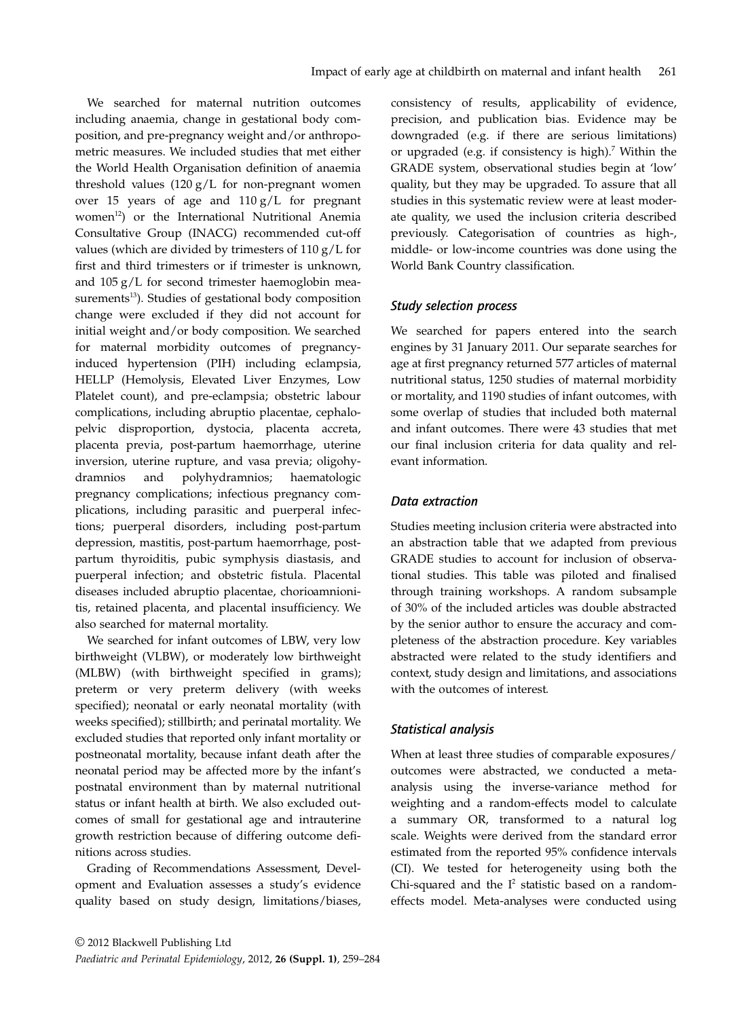We searched for maternal nutrition outcomes including anaemia, change in gestational body composition, and pre-pregnancy weight and/or anthropometric measures. We included studies that met either the World Health Organisation definition of anaemia threshold values  $(120 g/L)$  for non-pregnant women over 15 years of age and  $110 g/L$  for pregnant women<sup>12</sup>) or the International Nutritional Anemia Consultative Group (INACG) recommended cut-off values (which are divided by trimesters of  $110 \text{ g/L}$  for first and third trimesters or if trimester is unknown, and 105 g/L for second trimester haemoglobin measurements<sup>13</sup>). Studies of gestational body composition change were excluded if they did not account for initial weight and/or body composition. We searched for maternal morbidity outcomes of pregnancyinduced hypertension (PIH) including eclampsia, HELLP (Hemolysis, Elevated Liver Enzymes, Low Platelet count), and pre-eclampsia; obstetric labour complications, including abruptio placentae, cephalopelvic disproportion, dystocia, placenta accreta, placenta previa, post-partum haemorrhage, uterine inversion, uterine rupture, and vasa previa; oligohydramnios and polyhydramnios; haematologic pregnancy complications; infectious pregnancy complications, including parasitic and puerperal infections; puerperal disorders, including post-partum depression, mastitis, post-partum haemorrhage, postpartum thyroiditis, pubic symphysis diastasis, and puerperal infection; and obstetric fistula. Placental diseases included abruptio placentae, chorioamnionitis, retained placenta, and placental insufficiency. We also searched for maternal mortality.

We searched for infant outcomes of LBW, very low birthweight (VLBW), or moderately low birthweight (MLBW) (with birthweight specified in grams); preterm or very preterm delivery (with weeks specified); neonatal or early neonatal mortality (with weeks specified); stillbirth; and perinatal mortality. We excluded studies that reported only infant mortality or postneonatal mortality, because infant death after the neonatal period may be affected more by the infant's postnatal environment than by maternal nutritional status or infant health at birth. We also excluded outcomes of small for gestational age and intrauterine growth restriction because of differing outcome definitions across studies.

Grading of Recommendations Assessment, Development and Evaluation assesses a study's evidence quality based on study design, limitations/biases, consistency of results, applicability of evidence, precision, and publication bias. Evidence may be downgraded (e.g. if there are serious limitations) or upgraded (e.g. if consistency is high).<sup>7</sup> Within the GRADE system, observational studies begin at 'low' quality, but they may be upgraded. To assure that all studies in this systematic review were at least moderate quality, we used the inclusion criteria described previously. Categorisation of countries as high-, middle- or low-income countries was done using the World Bank Country classification.

## *Study selection process*

We searched for papers entered into the search engines by 31 January 2011. Our separate searches for age at first pregnancy returned 577 articles of maternal nutritional status, 1250 studies of maternal morbidity or mortality, and 1190 studies of infant outcomes, with some overlap of studies that included both maternal and infant outcomes. There were 43 studies that met our final inclusion criteria for data quality and relevant information.

# *Data extraction*

Studies meeting inclusion criteria were abstracted into an abstraction table that we adapted from previous GRADE studies to account for inclusion of observational studies. This table was piloted and finalised through training workshops. A random subsample of 30% of the included articles was double abstracted by the senior author to ensure the accuracy and completeness of the abstraction procedure. Key variables abstracted were related to the study identifiers and context, study design and limitations, and associations with the outcomes of interest.

## *Statistical analysis*

When at least three studies of comparable exposures/ outcomes were abstracted, we conducted a metaanalysis using the inverse-variance method for weighting and a random-effects model to calculate a summary OR, transformed to a natural log scale. Weights were derived from the standard error estimated from the reported 95% confidence intervals (CI). We tested for heterogeneity using both the Chi-squared and the  $I<sup>2</sup>$  statistic based on a randomeffects model. Meta-analyses were conducted using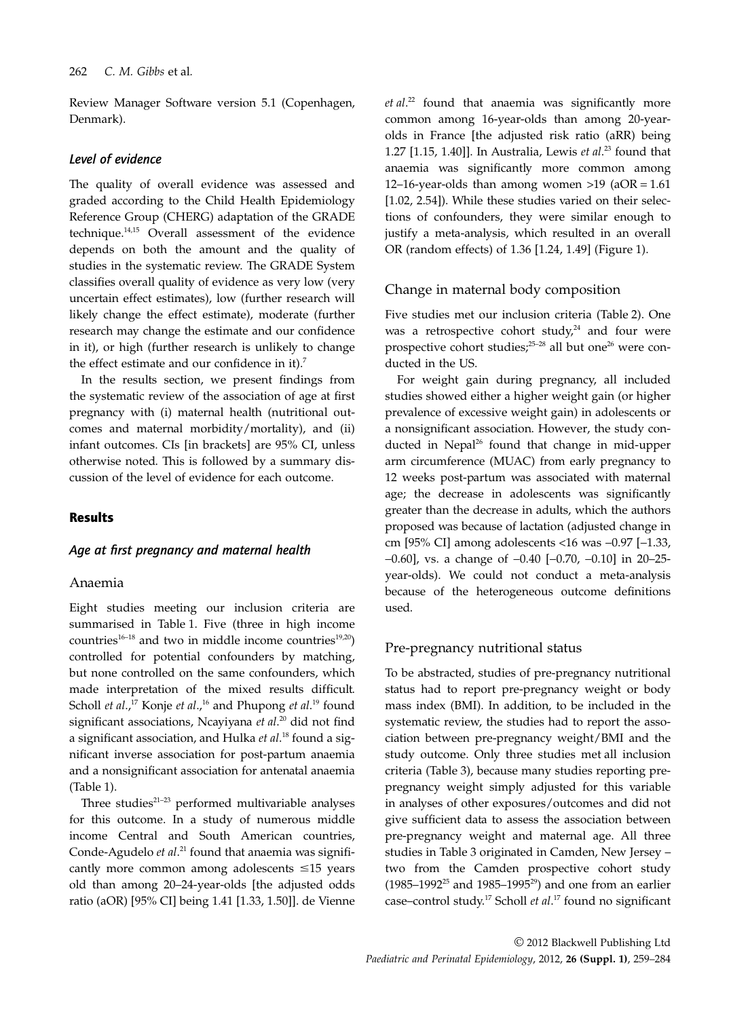Review Manager Software version 5.1 (Copenhagen, Denmark).

## *Level of evidence*

The quality of overall evidence was assessed and graded according to the Child Health Epidemiology Reference Group (CHERG) adaptation of the GRADE technique.14,15 Overall assessment of the evidence depends on both the amount and the quality of studies in the systematic review. The GRADE System classifies overall quality of evidence as very low (very uncertain effect estimates), low (further research will likely change the effect estimate), moderate (further research may change the estimate and our confidence in it), or high (further research is unlikely to change the effect estimate and our confidence in it).<sup>7</sup>

In the results section, we present findings from the systematic review of the association of age at first pregnancy with (i) maternal health (nutritional outcomes and maternal morbidity/mortality), and (ii) infant outcomes. CIs [in brackets] are 95% CI, unless otherwise noted. This is followed by a summary discussion of the level of evidence for each outcome.

# Results

#### *Age at first pregnancy and maternal health*

## Anaemia

Eight studies meeting our inclusion criteria are summarised in Table 1. Five (three in high income countries $16-18$  and two in middle income countries $19,20$ ) controlled for potential confounders by matching, but none controlled on the same confounders, which made interpretation of the mixed results difficult. Scholl *et al*., <sup>17</sup> Konje *et al*., <sup>16</sup> and Phupong *et al*. <sup>19</sup> found significant associations, Ncayiyana *et al*. <sup>20</sup> did not find a significant association, and Hulka *et al*. <sup>18</sup> found a significant inverse association for post-partum anaemia and a nonsignificant association for antenatal anaemia (Table 1).

Three studies $21-23$  performed multivariable analyses for this outcome. In a study of numerous middle income Central and South American countries, Conde-Agudelo *et al*. <sup>21</sup> found that anaemia was significantly more common among adolescents  $\leq$ 15 years old than among 20–24-year-olds [the adjusted odds ratio (aOR) [95% CI] being 1.41 [1.33, 1.50]]. de Vienne

*et al*. <sup>22</sup> found that anaemia was significantly more common among 16-year-olds than among 20-yearolds in France [the adjusted risk ratio (aRR) being 1.27 [1.15, 1.40]]. In Australia, Lewis *et al*. <sup>23</sup> found that anaemia was significantly more common among 12–16-year-olds than among women  $>19$  (aOR = 1.61 [1.02, 2.54]). While these studies varied on their selections of confounders, they were similar enough to justify a meta-analysis, which resulted in an overall OR (random effects) of 1.36 [1.24, 1.49] (Figure 1).

# Change in maternal body composition

Five studies met our inclusion criteria (Table 2). One was a retrospective cohort study, $24$  and four were prospective cohort studies;<sup>25-28</sup> all but one<sup>26</sup> were conducted in the US.

For weight gain during pregnancy, all included studies showed either a higher weight gain (or higher prevalence of excessive weight gain) in adolescents or a nonsignificant association. However, the study conducted in Nepal<sup>26</sup> found that change in mid-upper arm circumference (MUAC) from early pregnancy to 12 weeks post-partum was associated with maternal age; the decrease in adolescents was significantly greater than the decrease in adults, which the authors proposed was because of lactation (adjusted change in cm [95% CI] among adolescents <16 was -0.97 [-1.33,  $-0.60$ ], vs. a change of  $-0.40$  [ $-0.70$ ,  $-0.10$ ] in 20-25year-olds). We could not conduct a meta-analysis because of the heterogeneous outcome definitions used.

# Pre-pregnancy nutritional status

To be abstracted, studies of pre-pregnancy nutritional status had to report pre-pregnancy weight or body mass index (BMI). In addition, to be included in the systematic review, the studies had to report the association between pre-pregnancy weight/BMI and the study outcome. Only three studies met all inclusion criteria (Table 3), because many studies reporting prepregnancy weight simply adjusted for this variable in analyses of other exposures/outcomes and did not give sufficient data to assess the association between pre-pregnancy weight and maternal age. All three studies in Table 3 originated in Camden, New Jersey – two from the Camden prospective cohort study (1985–1992<sup>25</sup> and 1985–1995<sup>29</sup>) and one from an earlier case–control study.<sup>17</sup> Scholl *et al*. <sup>17</sup> found no significant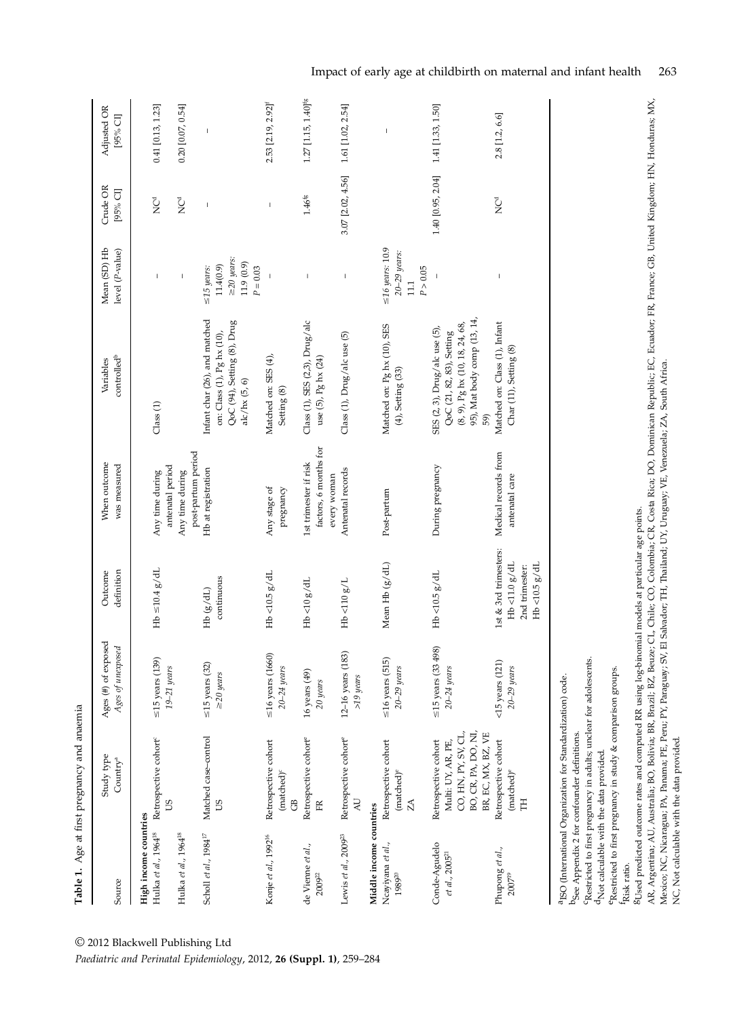|                                                               | Table 1. Age at first pregnancy and anaemia                                                                                                                                                                                                                                                                                                                                                                                                       |                                             |                                                                              |                                                               |                                                                                                                                                                                                   |                                                                             |                      |                                       |
|---------------------------------------------------------------|---------------------------------------------------------------------------------------------------------------------------------------------------------------------------------------------------------------------------------------------------------------------------------------------------------------------------------------------------------------------------------------------------------------------------------------------------|---------------------------------------------|------------------------------------------------------------------------------|---------------------------------------------------------------|---------------------------------------------------------------------------------------------------------------------------------------------------------------------------------------------------|-----------------------------------------------------------------------------|----------------------|---------------------------------------|
| Source                                                        | Study type<br>Country <sup>a</sup>                                                                                                                                                                                                                                                                                                                                                                                                                | Ages (#) of exposed<br>Ages of unexposed    | definition<br>Outcome                                                        | When outcome<br>was measured                                  | controlled <sup>b</sup><br>Variables                                                                                                                                                              | level (P-value)<br>Mean (SD) Hb                                             | Crude OR<br>[95% CI] | Adjusted OR<br>[95% CI]               |
| High income countries<br>Hulka et al., 1964 <sup>18</sup>     | Retrospective cohort <sup>c</sup>                                                                                                                                                                                                                                                                                                                                                                                                                 | $\leq$ 15 years (139)                       | $\mathrm{Hb} \leq 10.4 \, \mathrm{g/dL}$                                     | Any time during                                               | Class(1)                                                                                                                                                                                          |                                                                             | <b>P</b>             | 0.41 [0.13, 1.23]                     |
| Hulka et al., 1964 <sup>18</sup>                              | S                                                                                                                                                                                                                                                                                                                                                                                                                                                 | $19 - 21$ years                             |                                                                              | post-partum period<br>antenatal period<br>Any time during     |                                                                                                                                                                                                   |                                                                             | $\sum^d$             | 0.20 [0.07, 0.54]                     |
| Scholl et al., 1984 <sup>17</sup>                             | Matched case-control<br>SQ                                                                                                                                                                                                                                                                                                                                                                                                                        | $\leq$ 15 years (32)<br>$\geq$ 20 years     | continuous<br>Hb (g/dL)                                                      | Hb at registration                                            | Infant char (26), and matched<br>QoC (94), Setting (8), Drug<br>on: Class (1), Pg hx (10),<br>alc/hx (5, 6)                                                                                       | $\geq$ 20 years:<br>11.9 (0.9)<br>11.4(0.9)<br>$\leq$ 15 years:<br>$P=0.03$ | I                    | $\begin{array}{c} \hline \end{array}$ |
| Konje et al., 1992 <sup>16</sup>                              | Retrospective cohort<br>$(matched)^c$<br>GB                                                                                                                                                                                                                                                                                                                                                                                                       | $\leq$ 16 years (1660)<br>$20 - 24$ years   | Hb < 10.5 g/dL                                                               | Any stage of<br>pregnancy                                     | Matched on: SES (4),<br>Setting (8)                                                                                                                                                               |                                                                             |                      | 2.53 [2.19, 2.92] <sup>#</sup>        |
| de Vienne et al.,<br>$2009^{22}$                              | Retrospective cohorte<br>EK                                                                                                                                                                                                                                                                                                                                                                                                                       | $16$ years $(49)$<br>20 years               | Hb < 10 g/dL                                                                 | factors, 6 months for<br>1st trimester if risk<br>every woman | Class (1), SES (2,3), Drug/alc<br>use (5), Pg hx (24)                                                                                                                                             |                                                                             | $1.46^{6}$           | 1.27 [1.15, 1.40] <sup>ts</sup>       |
| Lewis et al., $2009^{23}$                                     | Retrospective cohorte<br>Ę                                                                                                                                                                                                                                                                                                                                                                                                                        | 12-16 years (183)<br>$>19 \; years$         | Hb <110 $g/L$                                                                | Antenatal records                                             | Class (1), Drug/alc use (5)                                                                                                                                                                       | $\overline{1}$                                                              | 3.07 [2.02, 4.56]    | $1.61$ [ $1.02$ , $2.54$ ]            |
| Middle income countries<br>Ncayiyana et al.,<br>$1989^{20}\,$ | Retrospective cohort<br>(matched) <sup>e</sup><br>ZA                                                                                                                                                                                                                                                                                                                                                                                              | $\leq$ 16 years (515)<br>$20 - 29$ years    | Mean Hb $(g/dL)$                                                             | Post-partum                                                   | Matched on: Pg hx (10), SES<br>$(4)$ , Setting $(33)$                                                                                                                                             | $\leq$ 16 years: 10.9<br>20-29 years:<br>$P>0.05$<br>$11.1\,$               |                      |                                       |
| Conde-Agudelo<br>$et\ al.,$ $2005^{21}$                       | BO, CR, PA, DO, NI,<br>CO, HN, PY, SV, CL,<br>BR, EC, MX, BZ, VE<br>Multi: UY, AR, PE,<br>Retrospective cohort                                                                                                                                                                                                                                                                                                                                    | $\leq$ 15 years (33 498)<br>$20 - 24$ years | Hb <10.5 $g/dL$                                                              | During pregnancy                                              | 95), Mat body comp (13, 14,<br>$(8, 9)$ , Pg hx $(10, 18, 24, 68,$<br>SES (2, 3), Drug/alc use (5),<br>QoC (21, 82, 83), Setting<br>59)                                                           |                                                                             | 1.40 [0.95, 2.04]    | 1.41 [1.33, 1.50]                     |
| Phupong et al.,<br>2007 <sup>19</sup>                         | Retrospective cohort<br>$(\rm matched)^e$<br>Ë                                                                                                                                                                                                                                                                                                                                                                                                    | $<$ 15 years $(121)$<br>$20 - 29$ years     | 1st & 3rd trimesters:<br>Hb <11.0 $g/dL$<br>Hb < 10.5 g/dL<br>2nd trimester: | Medical records from<br>antenatal care                        | Matched on: Class (1), Infant<br>Char (11), Setting (8)                                                                                                                                           |                                                                             | $\sum^d$             | 2.8 [1.2, 6.6]                        |
| $\rm f_{Risk}$ ratio.                                         | <sup>8</sup> Used predicted outcome rates and computed RR using log-binomial models at particular age points.<br><sup>C</sup> Restricted to first pregnancy in adults; unclear for adolescents.<br><sup>e</sup> Restricted to first pregnancy in study & comparison groups.<br>a ISO (International Organization for Standardization) code.<br>bSee Appendix 2 for confounder definitions.<br><sup>d</sup> Not calculable with the data provided. |                                             |                                                                              |                                                               |                                                                                                                                                                                                   |                                                                             |                      |                                       |
|                                                               | Mexico; NC, Nicaragua; PA, Panama; PE, Peru; PY, Paraguay; SV, El Salvador; TH, Thailand; UY, Uruguay; VE, Venezuela; ZA, South Africa.<br>NC, Not calculable with the data provided.                                                                                                                                                                                                                                                             |                                             |                                                                              |                                                               | AR, Argentina; AU, Australia; BO, Bolivia; BR, Brazil; BZ, Beuze; CL, Chile; CL, Colombia; CR, Costa Rica; DO, Dominican Republic; EC, Ecuador; FR, France; GB, United Kingdom; HN, Honduras; MX, |                                                                             |                      |                                       |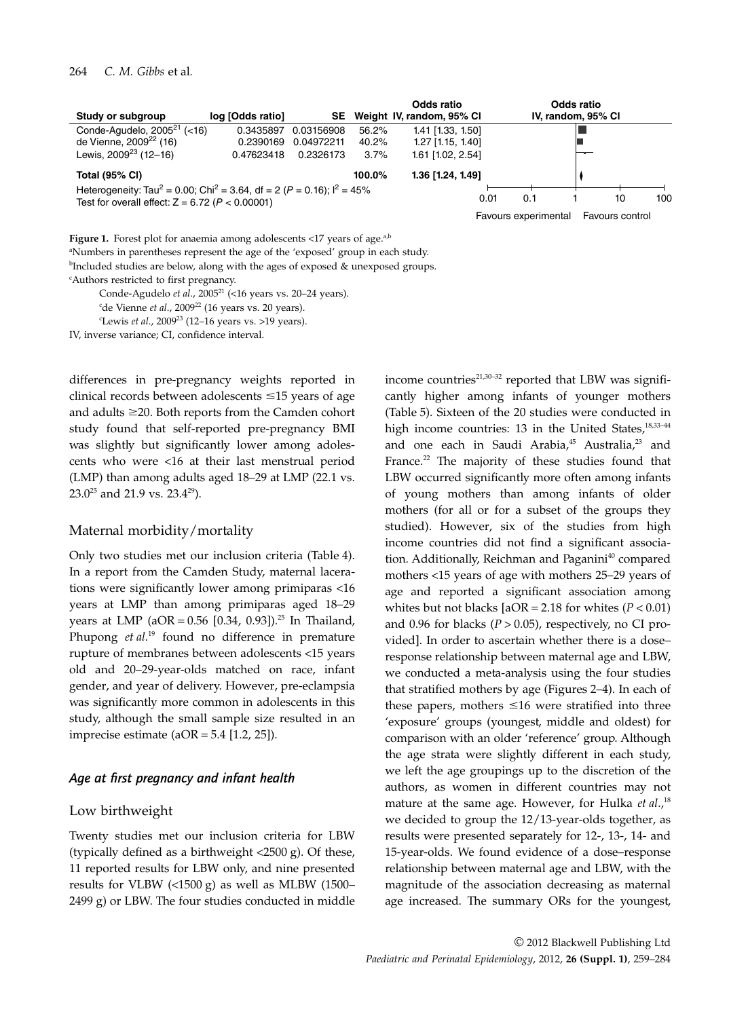|                                                                                                                                                                      |                  |            |        | <b>Odds ratio</b>         |      |                      | Odds ratio |                 |     |
|----------------------------------------------------------------------------------------------------------------------------------------------------------------------|------------------|------------|--------|---------------------------|------|----------------------|------------|-----------------|-----|
| Study or subgroup                                                                                                                                                    | log [Odds ratio] | SE.        |        | Weight IV, random, 95% CI |      | IV, random, 95% CI   |            |                 |     |
| Conde-Agudelo, $2005^{21}$ (<16)                                                                                                                                     | 0.3435897        | 0.03156908 | 56.2%  | 1.41 [1.33, 1.50]         |      |                      |            |                 |     |
| de Vienne, 2009 <sup>22</sup> (16)                                                                                                                                   | 0.2390169        | 0.04972211 | 40.2%  | 1.27 [1.15, 1.40]         |      |                      |            |                 |     |
| Lewis, 2009 <sup>23</sup> (12-16)                                                                                                                                    | 0.47623418       | 0.2326173  | 3.7%   | 1.61 [1.02, 2.54]         |      |                      |            |                 |     |
| <b>Total (95% CI)</b>                                                                                                                                                |                  |            | 100.0% | 1.36 [1.24, 1.49]         |      |                      |            |                 |     |
| Heterogeneity: Tau <sup>2</sup> = 0.00; Chi <sup>2</sup> = 3.64, df = 2 ( $P$ = 0.16); l <sup>2</sup> = 45%<br>Test for overall effect: $Z = 6.72$ ( $P < 0.00001$ ) |                  |            |        |                           | 0.01 | 0.1                  |            | 10              | 100 |
|                                                                                                                                                                      |                  |            |        |                           |      | Favours experimental |            | Favours control |     |

Figure 1. Forest plot for anaemia among adolescents <17 years of age.<sup>a,b</sup>

<sup>a</sup>Numbers in parentheses represent the age of the 'exposed' group in each study.

b Included studies are below, along with the ages of exposed & unexposed groups.

<sup>c</sup>Authors restricted to first pregnancy.

Conde-Agudelo *et al*., 2005<sup>21</sup> (<16 years vs. 20–24 years).

<sup>c</sup>de Vienne *et al.*, 2009<sup>22</sup> (16 years vs. 20 years). <sup>c</sup>Lewis *et al*., 2009<sup>23</sup> (12–16 years vs. >19 years).

IV, inverse variance; CI, confidence interval.

differences in pre-pregnancy weights reported in clinical records between adolescents  $\leq$ 15 years of age and adults  $\geq$  20. Both reports from the Camden cohort study found that self-reported pre-pregnancy BMI was slightly but significantly lower among adolescents who were <16 at their last menstrual period (LMP) than among adults aged 18–29 at LMP (22.1 vs. 23.0<sup>25</sup> and 21.9 vs. 23.4<sup>29</sup>).

# Maternal morbidity/mortality

Only two studies met our inclusion criteria (Table 4). In a report from the Camden Study, maternal lacerations were significantly lower among primiparas <16 years at LMP than among primiparas aged 18–29 years at LMP ( $aOR = 0.56$  [0.34, 0.93]).<sup>25</sup> In Thailand, Phupong *et al*.<sup>19</sup> found no difference in premature rupture of membranes between adolescents <15 years old and 20–29-year-olds matched on race, infant gender, and year of delivery. However, pre-eclampsia was significantly more common in adolescents in this study, although the small sample size resulted in an imprecise estimate  $(aOR = 5.4 [1.2, 25])$ .

## *Age at first pregnancy and infant health*

# Low birthweight

Twenty studies met our inclusion criteria for LBW (typically defined as a birthweight <2500 g). Of these, 11 reported results for LBW only, and nine presented results for VLBW  $\left($ <1500 g) as well as MLBW (1500– 2499 g) or LBW. The four studies conducted in middle

income countries $21,30-32$  reported that LBW was significantly higher among infants of younger mothers (Table 5). Sixteen of the 20 studies were conducted in high income countries: 13 in the United States,<sup>18,33-44</sup> and one each in Saudi Arabia,<sup>45</sup> Australia,<sup>23</sup> and France.<sup>22</sup> The majority of these studies found that LBW occurred significantly more often among infants of young mothers than among infants of older mothers (for all or for a subset of the groups they studied). However, six of the studies from high income countries did not find a significant association. Additionally, Reichman and Paganini<sup>40</sup> compared mothers <15 years of age with mothers 25–29 years of age and reported a significant association among whites but not blacks  $[aOR = 2.18$  for whites  $(P < 0.01)$ and 0.96 for blacks (*P* > 0.05), respectively, no CI provided]. In order to ascertain whether there is a dose– response relationship between maternal age and LBW, we conducted a meta-analysis using the four studies that stratified mothers by age (Figures 2–4). In each of these papers, mothers  $\leq 16$  were stratified into three 'exposure' groups (youngest, middle and oldest) for comparison with an older 'reference' group. Although the age strata were slightly different in each study, we left the age groupings up to the discretion of the authors, as women in different countries may not mature at the same age. However, for Hulka *et al*., 18 we decided to group the 12/13-year-olds together, as results were presented separately for 12-, 13-, 14- and 15-year-olds. We found evidence of a dose–response relationship between maternal age and LBW, with the magnitude of the association decreasing as maternal age increased. The summary ORs for the youngest,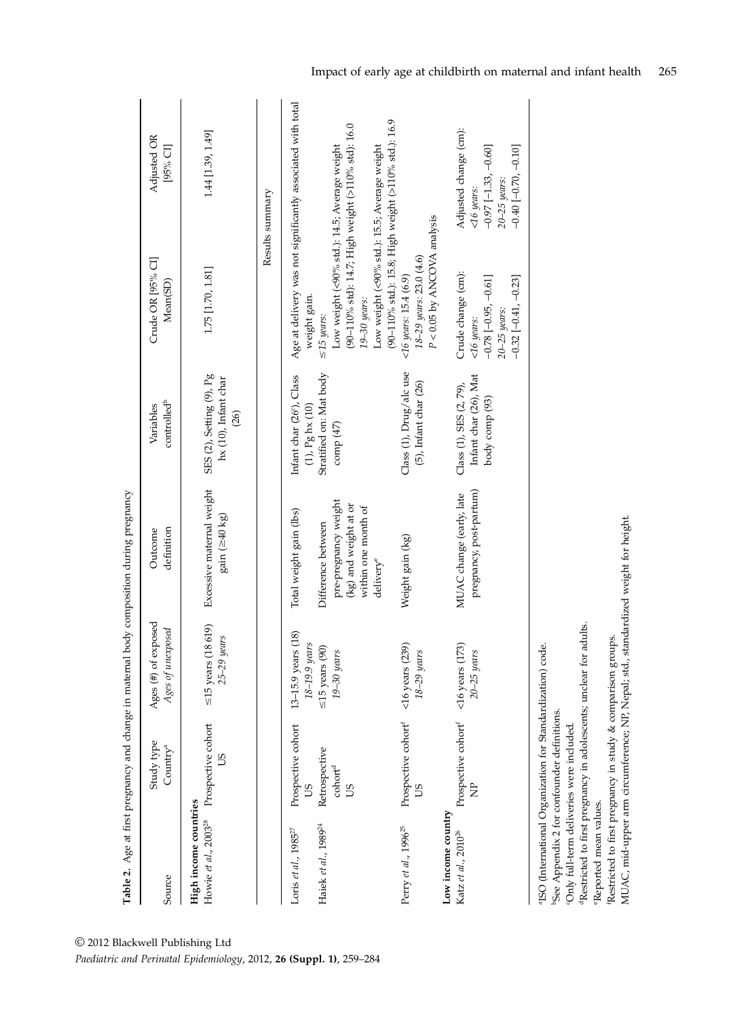|                                                    | Table 2. Age at first pregnancy and change in maternal                                                                                                       |                                                | body composition during pregnancy                                                                                   |                                                                    |                                                                                                                                  |                                                                                                                      |
|----------------------------------------------------|--------------------------------------------------------------------------------------------------------------------------------------------------------------|------------------------------------------------|---------------------------------------------------------------------------------------------------------------------|--------------------------------------------------------------------|----------------------------------------------------------------------------------------------------------------------------------|----------------------------------------------------------------------------------------------------------------------|
| Source                                             | Study type<br>Country <sup>a</sup>                                                                                                                           | exposed<br>Ages of unexposed<br>Ages $(\#)$ of | definition<br>Outcome                                                                                               | controlled <sup>b</sup><br>Variables                               | Crude OR [95% CI]<br>Mean(SD)                                                                                                    | Adjusted OR<br>$[95\%$ CI]                                                                                           |
| High income countries<br>Howie et al., $2003^{28}$ | Prospective cohort<br>SQ                                                                                                                                     | $\leq$ 15 years (18619)<br>$25 - 29$ years     | Excessive maternal weight<br>$gain$ ( $\geq$ 40 kg)                                                                 | SES (2), Setting (9), Pg<br>hx (10), Infant char<br>(26)           | 1.75 [1.70, 1.81]                                                                                                                | 1.44 [1.39, 1.49]                                                                                                    |
|                                                    |                                                                                                                                                              |                                                |                                                                                                                     |                                                                    |                                                                                                                                  | Results summary                                                                                                      |
| Loris et al., $1985^{27}$                          | Prospective cohort<br><b>CO</b>                                                                                                                              | 13-15.9 years (18)<br>18-19.9 years            | Total weight gain (lbs)                                                                                             | Infant char (26°), Class<br>$(1)$ , Pg hx $(10)$                   | weight gain.                                                                                                                     | Age at delivery was not significantly associated with total                                                          |
| Haiek et al., 1989 <sup>24</sup>                   | Retrospective<br>cohort <sup>d</sup><br>SU                                                                                                                   | $\leq$ 15 years (90)<br>$19-30$ years          | pre-pregnancy weight<br>(kg) and weight at or<br>within one month of<br>Difference between<br>delivery <sup>e</sup> | Stratified on: Mat body<br>comp(47)                                | Low weight (<90% std.): 14.5; Average weight<br>Low weight (<90% std.): 15.5; Average weight<br>19-30 years:<br>$\leq$ 15 years: | (90-110% std): 14.7; High weight (>110% std): 16.0                                                                   |
| Perry et al., 1996 <sup>25</sup>                   | Prospective cohort <sup>f</sup><br>SQ                                                                                                                        | $<$ 16 years (239)<br>$18-29$ years            | Weight gain (kg)                                                                                                    | Class (1), Drug/alc use<br>$(5)$ , Infant char $(26)$              | $P < 0.05$ by ANCOVA analysis<br>18-29 years: 23.0 (4.6)<br>$16$ years: $15.4$ (6.9)                                             | (90-110% std.): 15.8; High weight (>110% std.): 16.9                                                                 |
| Low income country                                 |                                                                                                                                                              |                                                |                                                                                                                     |                                                                    |                                                                                                                                  |                                                                                                                      |
| Katz et al., 2010 <sup>26</sup>                    | Prospective cohort <sup>f</sup><br>È                                                                                                                         | $<$ 16 years (173)<br>$20 - 25$ years          | pregnancy, post-partum)<br>MUAC change (early, late                                                                 | Infant char (26), Mat<br>Class (1), SES (2, 79),<br>body comp (93) | Crude change (cm):<br>$-0.78[-0.95, -0.61]$<br>$-0.32$ $[-0.41, -0.23]$<br>20-25 years:<br><16 years:                            | Adjusted change (cm):<br>$-0.97$ [ $-1.33$ , $-0.60$ ]<br>$-0.40$ $[-0.70, -0.10]$<br>$20 - 25$ years:<br><16 years: |
|                                                    | aISO (International Organization for Standardization) code.<br><b>See Appendix 2 for confounder definitions.</b><br>Only full-term deliveries were included. |                                                |                                                                                                                     |                                                                    |                                                                                                                                  |                                                                                                                      |

dRestricted to first pregnancy in adolescents; unclear for adults.

<sup>d</sup>Restricted to first pregnancy in adolescents; unclear for adults.

fRestricted to first pregnancy in study & comparison groups.

MUAC, mid-upper arm circumference; NP, Nepal; std., standardized weight for height.

'Restricted to first pregnancy in study & comparison groups.<br>MUAC, mid-upper arm circumference; NP, Nepal; std., standardized weight for height.

eReported mean values.

<sup>e</sup>Reported mean values.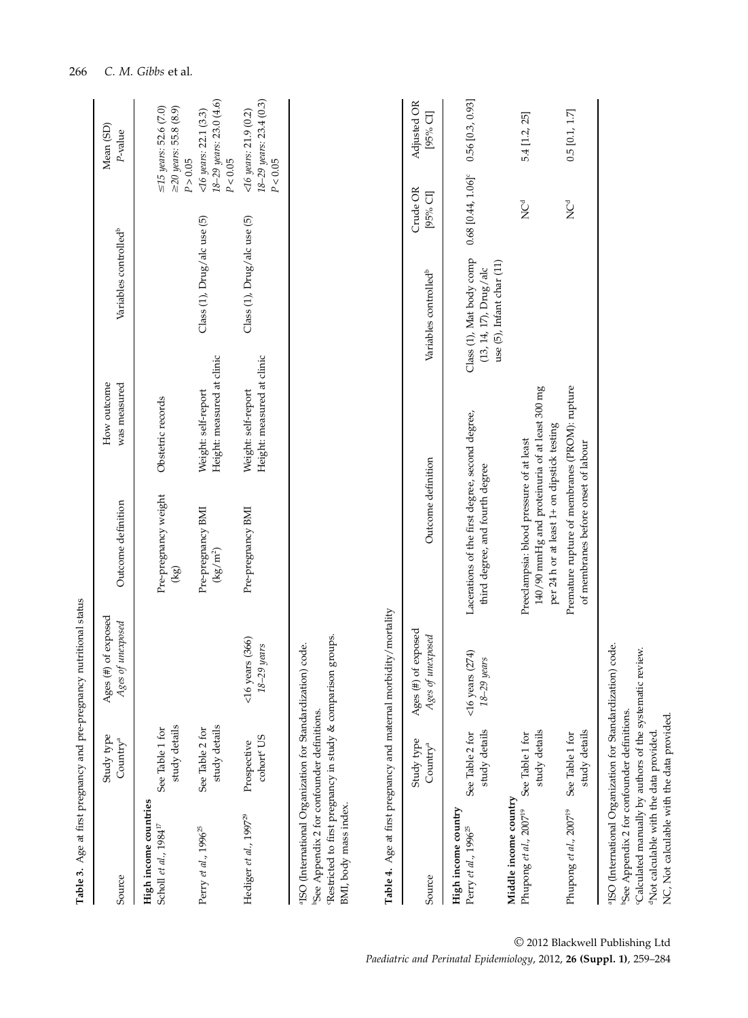| Table 3. Age at first pregnancy and pre-pregnancy nutritional status                                                                                                                                                                                                        |                                       |                                                                  |                                                                                                                                           |                                                   |                                                                                    |                                     |                                                                                 |
|-----------------------------------------------------------------------------------------------------------------------------------------------------------------------------------------------------------------------------------------------------------------------------|---------------------------------------|------------------------------------------------------------------|-------------------------------------------------------------------------------------------------------------------------------------------|---------------------------------------------------|------------------------------------------------------------------------------------|-------------------------------------|---------------------------------------------------------------------------------|
| Source                                                                                                                                                                                                                                                                      | Study type<br>Country <sup>a</sup>    | Ages (#) of exposed<br>Ages of unexposed                         | Outcome definition                                                                                                                        | How outcome<br>was measured                       | Variables controlled <sup>b</sup>                                                  |                                     | Mean (SD)<br>$P$ -value                                                         |
| High income countries<br>Scholl et al., $1984^{17}$                                                                                                                                                                                                                         | study details<br>See Table 1 for      |                                                                  | Pre-pregnancy weight<br>(kg)                                                                                                              | Obstetric records                                 |                                                                                    |                                     | $\leq$ 15 years: 52.6 (7.0)<br>$\geq$ 20 years: 55.8 (8.9)                      |
| Perry et al., 1996 <sup>25</sup>                                                                                                                                                                                                                                            | study details<br>See Table 2 for      |                                                                  | Pre-pregnancy BMI<br>$\left({\rm kg}/{\rm m}^2\right)$                                                                                    | Height: measured at clinic<br>Weight: self-report | Class (1), Drug/alc use (5)                                                        |                                     | 18-29 years: 23.0 (4.6)<br>$16$ years: 22.1 $(3.3)$<br>$P > 0.05$<br>$P < 0.05$ |
| Hediger et al., 1997 <sup>29</sup>                                                                                                                                                                                                                                          | cohort <sup>e</sup> US<br>Prospective | $<$ 16 years (366)<br>$18-29$ years                              | Pre-pregnancy BMI                                                                                                                         | Height: measured at clinic<br>Weight: self-report | Class (1), Drug/alc use (5)                                                        |                                     | 18-29 years: 23.4 (0.3)<br>$<16$ years: 21.9 (0.2)<br>$P < 0.05$                |
| Restricted to first pregnancy in study & comparison groups.<br><sup>a</sup> ISO (International Organization for Standardization) code.<br><sup>b</sup> See Appendix 2 for confounder definitions.<br>BMI, body mass index.                                                  |                                       | Table 4. Age at first pregnancy and maternal morbidity/mortality |                                                                                                                                           |                                                   |                                                                                    |                                     |                                                                                 |
| Source                                                                                                                                                                                                                                                                      | Study type<br>Country <sup>a</sup>    | Ages (#) of exposed<br>Ages of unexposed                         | Outcome definition                                                                                                                        |                                                   | Variables controlled <sup>b</sup>                                                  | Crude OR<br>$[95%$ CI]              | Adjusted OR<br>[95% CI]                                                         |
| High income country<br>Perry et al., 1996 <sup>25</sup>                                                                                                                                                                                                                     | study details<br>See Table 2 for      | $<$ 16 years (274)<br>$18-29$ years                              | Lacerations of the first degree, second degree,<br>third degree, and fourth degree                                                        |                                                   | Class (1), Mat body comp<br>use (5), Infant char (11)<br>$(13, 14, 17)$ , Drug/alc | $0.68$ [0.44, $1.06$ ] <sup>c</sup> | $0.56$ [0.3, 0.93]                                                              |
| Middle income country<br>Phupong et al., 2007 <sup>19</sup>                                                                                                                                                                                                                 | study details<br>See Table 1 for      |                                                                  | 140/90 mmHg and proteinuria of at least 300 mg<br>per 24 h or at least 1+ on dipstick testing<br>Preeclampsia: blood pressure of at least |                                                   |                                                                                    | ۲C<br>X                             | 5.4 [1.2, 25]                                                                   |
| Phupong et al., 2007 <sup>19</sup>                                                                                                                                                                                                                                          | study details<br>See Table 1 for      |                                                                  | Premature rupture of membranes (PROM): rupture<br>of membranes before onset of labour                                                     |                                                   |                                                                                    | <b>PU</b>                           | $0.5$ [0.1, 1.7]                                                                |
| aISO (International Organization for Standardization) code.<br>°Calculated manually by authors of the systematic review.<br>bSee Appendix 2 for confounder definitions.<br>NC, Not calculable with the data provided.<br><sup>d</sup> Not calculable with the data provided |                                       |                                                                  |                                                                                                                                           |                                                   |                                                                                    |                                     |                                                                                 |

© 2012 Blackwell Publishing Ltd *Paediatric and Perinatal Epidemiology*, 2012, **26 (Suppl. 1)**, 259–284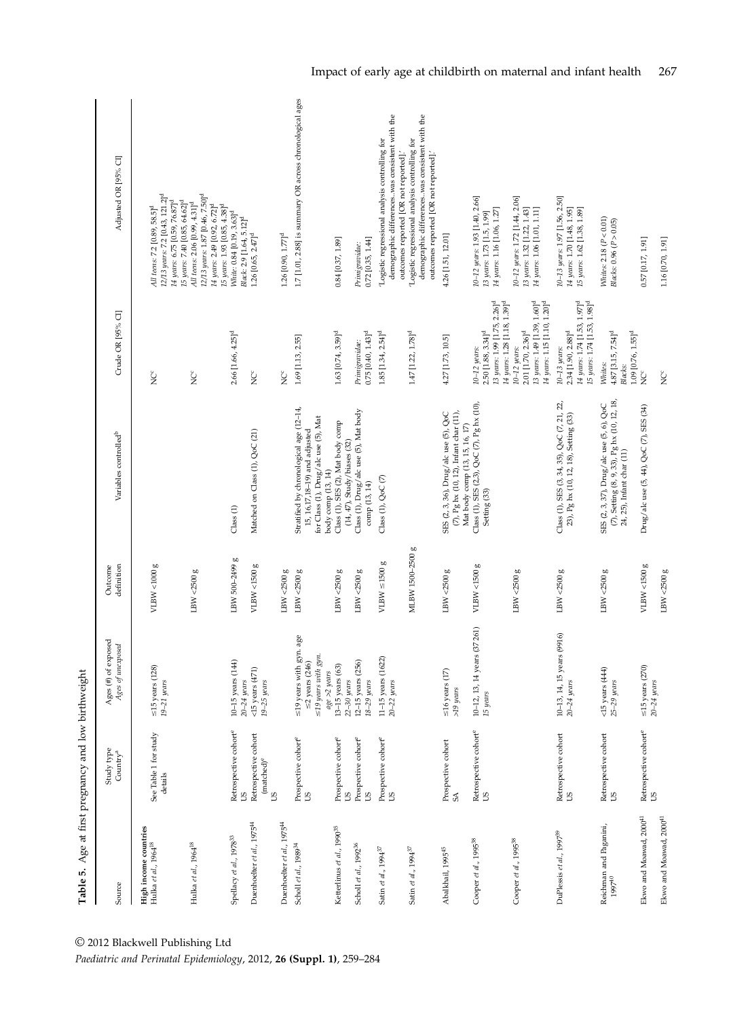| Table 5.                                             | Age at first pregnancy and low birthweight                  |                                                                                    |                                             |                                                                                                                                    |                                                                                                                                          |                                                                                                                                                                                   |
|------------------------------------------------------|-------------------------------------------------------------|------------------------------------------------------------------------------------|---------------------------------------------|------------------------------------------------------------------------------------------------------------------------------------|------------------------------------------------------------------------------------------------------------------------------------------|-----------------------------------------------------------------------------------------------------------------------------------------------------------------------------------|
| Source                                               | Study type<br>Country <sup>a</sup>                          | Ages (#) of exposed<br>Ages of unexposed                                           | definition<br>Outcome                       | Variables controlled <sup>b</sup>                                                                                                  | Crude OR [95% CI]                                                                                                                        | Adjusted OR [95% CI]                                                                                                                                                              |
| High income countries<br>Hulka $et\, al., 1964^{18}$ | See Table 1 for study<br>details                            | $\leq$ 15 years (128)<br>$19-21$ years                                             | VLBW <1000 g                                |                                                                                                                                    | ğ                                                                                                                                        | 12/13 years: 7.2 [0.43, 121.2] <sup>d</sup><br>14 years: 6.75 [0.59, 76.87] <sup>d</sup><br>All teens: 7.2 [0.89, 58.5] <sup>d</sup>                                              |
| Hulka $et$ $al., 1964^{18}\,$                        |                                                             |                                                                                    | LBW <2500 g                                 |                                                                                                                                    | ğ                                                                                                                                        | 12/13 years: 1.87 [0.46, 7.50] <sup>d</sup><br>15 years: 7.40 [0.85, 64.62] <sup>d</sup><br>All teens: 2.06 [0.99, 4.31] <sup>d</sup><br>14 years: 2.49 [0.92, 6.72] <sup>d</sup> |
| Spellacy et al., 1978 <sup>33</sup>                  | Retrospective cohorte                                       | 10-15 years (144)                                                                  | LBW 500-2499 g                              | Class(1)                                                                                                                           | 2.66 [1.66, 4.25] <sup>d</sup>                                                                                                           | 15 years: 1.93 [0.85, 4.38] <sup>d</sup><br>White: 0.84 [0.19, 3.63] <sup>d</sup>                                                                                                 |
| Duenhoelter et al., 1975 <sup>44</sup>               | Retrospective cohort<br>(matched) <sup>e</sup><br>US.<br>US | $\langle$ 15 years $(471)$<br>$20 - 24$ years<br>19-25 years                       | VLBW <1500 g                                | Matched on Class (1), QoC (21)                                                                                                     | ğ                                                                                                                                        | Black: 2.9 [1.64, 5.12] <sup>d</sup><br>$1.26$ [0.65, $2.47$ ] <sup>d</sup>                                                                                                       |
| Duenhoelter et al., 1975 <sup>44</sup>               |                                                             |                                                                                    | LBW < 2500 g                                |                                                                                                                                    | Š                                                                                                                                        | 1.26 [0.90, 1.77] <sup>d</sup>                                                                                                                                                    |
| Scholl et al., 1989 <sup>34</sup>                    | Prospective cohort <sup>e</sup><br>US                       | $\leq$ 19 years with gyn. age<br>$\leq$ 19 years with gyn.<br>$\leq$ 2 years (246) | LBW <2500 g                                 | Stratified by chronological age (12-14,<br>for Class (1), Drug/alc use (5), Mat<br>15, 16, 17, 18-19) and adjusted                 | 1.69 [1.13, 2.55]                                                                                                                        | 1.7 [1.01, 2.88] is summary OR across chronological ages                                                                                                                          |
| Ketterlinus et al., $1990^{35}$                      | Prospective cohort <sup>e</sup><br>US.                      | $13-15$ years $(63)$<br>age >2 years<br>$22 - 30$ years                            | LBW <2500 g                                 | body comp $(13, 14)$<br>Class $(1)$ , SES $(2)$ , Mat body comp<br>$(14, 47)$ , Study/biases $(32)$                                | 1.63 [0.74, 3.59] <sup>d</sup>                                                                                                           | 0.84 [0.37, 1.89]                                                                                                                                                                 |
| Scholl et al., 1992 <sup>36</sup>                    | Prospective cohorte<br><b>CO</b>                            | $12 - 15$ years $(256)$<br>$18-29$ years                                           | LBW < 2500 g                                | Class (1), Drug/alc use (5), Mat body<br>$\mathop{\rm comp}\nolimits\left(13,14\right)$                                            | $0.75$ [0.40, 1.43] <sup>d</sup><br>Primigravidae:                                                                                       | $0.72$ [0.35, 1.44]<br>Primigravidae:                                                                                                                                             |
| Satin et al., 1994 <sup>37</sup>                     | Prospective cohorte<br>US                                   | 11-15 years (1622)<br>$20-22$ years                                                | $\text{VLBW}\leq\!1500\,\text{g}$           | Class (1), QoC (7)                                                                                                                 | $1.85$ [ $1.34$ , $2.54$ ] <sup>d</sup>                                                                                                  | demographic differences. was consistent with the<br>'Logistic regressional analysis controlling for<br>outcomes reported [OR not reported].'                                      |
| Satin et al., 1994 <sup>37</sup>                     |                                                             |                                                                                    | MLBW 1500-2500 g                            |                                                                                                                                    | 1.47 [1.22, 1.78] <sup>d</sup>                                                                                                           | demographic differences. was consistent with the<br>'Logistic regressional analysis controlling for<br>outcomes reported [OR not reported].'                                      |
| Abalkhail, 1995 <sup>45</sup>                        | Prospective cohort<br>SA.                                   | $\leq$ 16 years (17)<br>$>19$ years                                                | LBW < 2500 g                                | SES (2, 3, 36), Drug/alc use (5), QoC<br>(7), Pg hx (10, 12), Infant char (11),<br>Mat body comp $\left( 13,\,15,\,16,\,17\right)$ | 4.27 [1.73, 10.5]                                                                                                                        | 4.26 [1.51, 12.01]                                                                                                                                                                |
| Cooper et al., 1995 <sup>38</sup>                    | Retrospective cohorte<br>US                                 | $10-12$ , 13, 14 years $(37\ 261)$<br>$15 \; years$                                | VLBW <1500 $g$                              | Class (1), SES (2,3), QoC (7), Pg hx (10),<br>Setting (33)                                                                         | 13 years: 1.99 [1.75, 2.26] <sup>d</sup><br>14 years: 1.28 [1.18, 1.39] <sup>d</sup><br>2.50 [1.88, 3.34] <sup>d</sup><br>10-12 years:   | 10-12 years: 1.93 [1.40, 2.66]<br>14 years: 1.16 [1.06, 1.27]<br>13 years: 1.73 [1.5, 1.99]                                                                                       |
| Cooper et al., 1995 <sup>38</sup>                    |                                                             |                                                                                    | LBW < 2500 g                                |                                                                                                                                    | 13 years: 1.49 [1.39, 1.60] <sup>d</sup><br>14 years: 1.15 [1.10, 1.20] <sup>d</sup><br>2.01 [1.70, 2.36] <sup>d</sup><br>10-12 years:   | 10-12 years: 1.72 [1.44, 2.06]<br>$14 \text{ years:} 1.06 \text{ [}1.01, 1.11\text{]}$<br>13 years: 1.32 [1.22, 1.43]                                                             |
| DuPlessis et al., 1997 <sup>39</sup>                 | Retrospective cohort<br>US                                  | 10-13, 14, 15 years (9916)<br>$20 - 24$ years                                      | $\text{LBW}\!\vartriangle\!\!500\,\text{g}$ | Class (1), SES (3, 34, 35), QoC (7, 21, 22,<br>23), Pg hx (10, 12, 18), Setting (33)                                               | 14 years: 1.74 [1.53, 1.97] <sup>d</sup><br>15 years: 1.74 [1.53, 1.98] <sup>d</sup><br>2.34 [1.90, 2.88] <sup>d</sup><br>$10-13$ years: | 10-13 years: 1.97 [1.56, 2.50]<br>14 years: 1.70 [1.48, 1.95]<br>15 years: 1.62 [1.38, 1.89]                                                                                      |
| Reichman and Paganini,<br>1997 <sup>40</sup>         | Retrospective cohort<br>US                                  | $<$ 15 years $(444)$<br>$25-29$ years                                              | LBW < 2500 g                                | SES (2, 3, 37), Drug/alc use (5, 6), QoC<br>(7), Setting (8, 9, 33), Pg hx (10, 12, 18,<br>24, 25), Infant char (11)               | 1.09 [0.76, 1.55] <sup>d</sup><br>$4.87$ [3.15, 7.54] <sup>d</sup><br>Whites:<br>Blacks:                                                 | Whites: $2.18$ $(P < 0.01)$<br>Blacks: 0.96 (P > 0.05)                                                                                                                            |
| Ekwo and Moawad, 2000 <sup>41</sup>                  | Retrospective cohorte<br>US                                 | $\leq$ 15 years (270)<br>$20 - 24$ years                                           | VLBW <1500 g                                | Drug/alc use (5, 44), QoC (7), SES (34)                                                                                            | $\sum_{i=1}^{n}$                                                                                                                         | 0.57 [0.17, 1.91]                                                                                                                                                                 |
| Ekwo and Moawad, 2000 <sup>41</sup>                  |                                                             |                                                                                    | $\text{LBW}\text{ }{\leq}2500\text{ g}$     |                                                                                                                                    | $\check{\mathsf{R}}$                                                                                                                     | 1.16 [0.70, 1.91]                                                                                                                                                                 |

© 2012 Blackwell Publishing Ltd

*Paediatric and Perinatal Epidemiology*, 2012, **26 (Suppl. 1)**, 259–284

Impact of early age at childbirth on maternal and infant health 267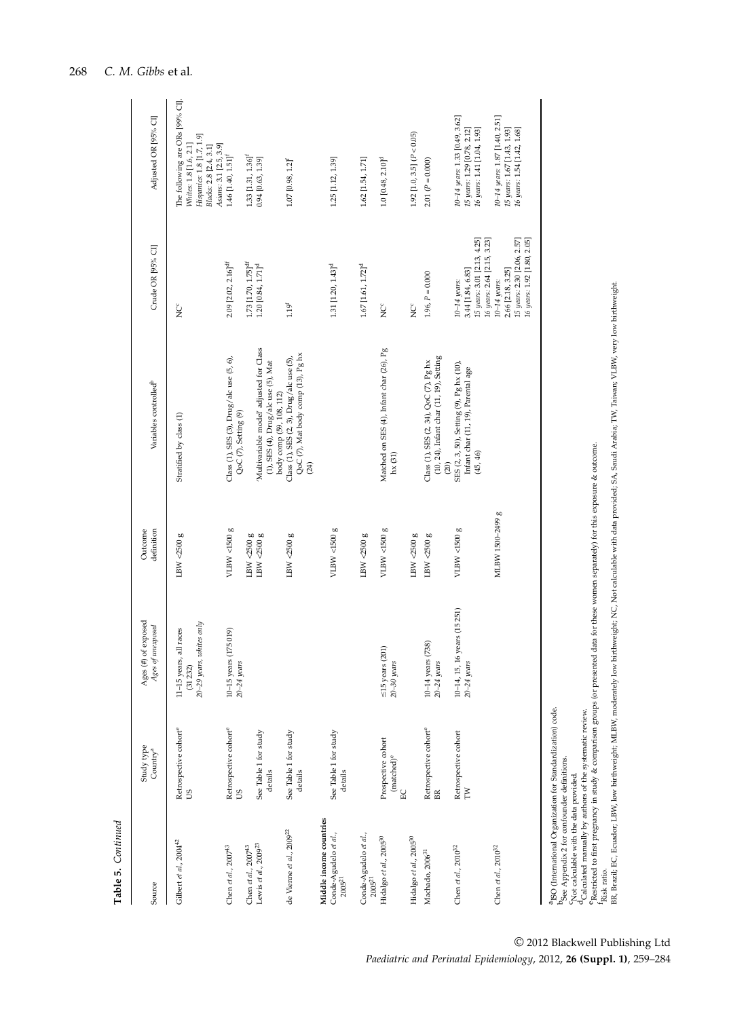| u٠ |  |
|----|--|
| I  |  |
|    |  |

| Source                                                                                                                    | Study type<br>Country <sup>a</sup>                                                                                                                                                                                                      | of exposed<br>unexposed<br>Ages of <i>1</i><br>Ages $(\#)$ $\circ$  | definition<br>Outcome                                         | Variables controlled <sup>b</sup>                                                                                                                                                 | Crude OR [95% CI]                                                                                                                | Adjusted OR [95% CI]                                                                                             |
|---------------------------------------------------------------------------------------------------------------------------|-----------------------------------------------------------------------------------------------------------------------------------------------------------------------------------------------------------------------------------------|---------------------------------------------------------------------|---------------------------------------------------------------|-----------------------------------------------------------------------------------------------------------------------------------------------------------------------------------|----------------------------------------------------------------------------------------------------------------------------------|------------------------------------------------------------------------------------------------------------------|
| Gilbert et al., $2004^{42}$                                                                                               | Retrospective cohort <sup>e</sup><br>US                                                                                                                                                                                                 | 20-29 years, whites only<br>all races<br>$11-15$ years,<br>(31 232) | LBW <2500 g                                                   | Stratified by class (1)                                                                                                                                                           | š                                                                                                                                | The following are ORs [99% CI].<br>Hispanics: 1.8 [1.7, 1.9]<br>Whites: 1.8 [1.6, 2.1]<br>Blacks: 2.8 [2.4, 3.1] |
| Chen et al., $2007^{43}$                                                                                                  | Retrospective cohort <sup>e</sup><br>US                                                                                                                                                                                                 | 10-15 years (175 019)                                               | VLBW <1500 g                                                  | Class (1), SES (3), Drug/alc use $(5, 6)$ ,                                                                                                                                       | 2.09 [2.02, 2.16] <sup>df</sup>                                                                                                  | Asians: 3.1 [2.5, 3.9]<br>$1.46\ [1.40,\, 1.51]^{\rm f}$                                                         |
| Lewis et al., $2009^{23}$<br>Chen et al., $2007^{43}$                                                                     | See Table 1 for study<br>details                                                                                                                                                                                                        | $20 - 24$ years                                                     | LBW <2500 g<br>LBW <2500 g                                    | Multivariable model' adjusted for Class<br>$(1)$ , SES $(4)$ , Drug/alc use $(5)$ , Mat<br>QoC (7), Setting (9)                                                                   | $1.73\ [1.70,\, 1.75]^{df} \\ 1.20\ [0.84,\, 1.71]^{d}$                                                                          | $1.33$ [1.31, $1.36$ ] <sup>f</sup><br>0.94 [0.63, 1.39]                                                         |
| de Vienne $et\, al.,\, 2009^{22}$                                                                                         | See Table 1 for study<br>details                                                                                                                                                                                                        |                                                                     | $LBW \sim 2500g$                                              | QoC (7), Mat body comp (13), Pg hx<br>Class (1), SES (2, 3), Drug/alc use (5),<br>body comp (59, 108, 112)<br>(24)                                                                | 1.19 <sup>f</sup>                                                                                                                | $1.07$ [0.98, $1.2$ ] <sup>f</sup>                                                                               |
| Middle income countries<br>Conde-Agudelo et al.,<br>$2005^{21}$                                                           | See Table 1 for study<br>details                                                                                                                                                                                                        |                                                                     | VLBW <1500 g                                                  |                                                                                                                                                                                   | 1.31 [1.20, 1.43] <sup>d</sup>                                                                                                   | 1.25 [1.12, 1.39]                                                                                                |
| Conde-Agudelo et al.,<br>$2005^{21}$                                                                                      |                                                                                                                                                                                                                                         |                                                                     | $LBW \sim 2500 g$                                             |                                                                                                                                                                                   | $1.67$ [1.61, $1.72$ ] <sup>d</sup>                                                                                              | 1.62 [1.54, 1.71]                                                                                                |
| Hidalgo et al., 2005 <sup>30</sup>                                                                                        | Prospective cohort<br>$(matched)^e$<br>E                                                                                                                                                                                                | $\leq$ 15 years (201)<br>$20 - 30$ years                            | VLBW <1500 g                                                  | Matched on SES (4), Infant char (26), Pg<br>hx(31)                                                                                                                                | $\sum_{i=1}^{n}$                                                                                                                 | 1.0 [0.48, 2.10] <sup>d</sup>                                                                                    |
| Hidalgo et al., 2005 <sup>30</sup>                                                                                        |                                                                                                                                                                                                                                         |                                                                     | $LBW \approx 500 g$                                           |                                                                                                                                                                                   | Š                                                                                                                                | $1.92$ [1.0, 3.5] ( $P < 0.05$ )                                                                                 |
| Machado, 2006 <sup>31</sup>                                                                                               | Retrospective cohorte<br>BR                                                                                                                                                                                                             | 10-14 years (738)<br>$20 - 24$ years                                | LBW $\approx$ 500 $g$                                         | (10, 24), Infant char (11, 19), Setting<br>Class (1), SES (2, 34), QoC (7), Pg hx                                                                                                 | $1.96, P = 0.000$                                                                                                                | $2.01 (P = 0.000)$                                                                                               |
| Chen et al., $2010^{32}$                                                                                                  | Retrospective cohort<br>$\mathbb{N}$                                                                                                                                                                                                    | years (15 251)<br>$10-14, 15, 16$<br>$20 - 24$ years                | VLBW <1500 g                                                  | SES (2, 3, 50), Setting (9), Pg hx (10),<br>Infant char (11, 19), Parental age<br>(45, 46)<br>(20)                                                                                | 15 years: 3.01 [2.13, 4.25]<br>3.44 [1.84, 6.83]<br>$10-14$ years:                                                               | 10-14 years: 1.33 [0.49, 3.62]<br>15 years: 1.29 [0.78, 2.12]<br>16 years: 1.41 [1.04, 1.93]                     |
| Chen et al., $2010^{32}$                                                                                                  |                                                                                                                                                                                                                                         |                                                                     | MLBW 1500-2499 g                                              |                                                                                                                                                                                   | 16 years: 2.64 [2.15, 3.23]<br>15 years: 2.30 [2.06, 2.57]<br>16 years: 1.92 [1.80, 2.05]<br>2.66 [2.18, 3.25]<br>$10-14$ years: | 10-14 years: 1.87 [1.40, 2.51]<br>15 years: 1.67 [1.43, 1.93]<br>16 years: 1.54 [1.42, 1.68]                     |
| b See Appendix 2 for confounder definitions.<br>Not calculable with the data provided.<br>$\mathbf{f}_{\rm Risk\ ratio.}$ | $\mathbb{P}_{\mathsf{Res}}$ freed to first pregnancy in study & comparison groups (or presented<br><sup>a</sup> ISO (International Organization for Standardization) code.<br>dcalculated manually by authors of the systematic review. |                                                                     | data for these women separately) for this exposure & outcome. | BR, Brazil; EC, Ecuador; LBW, low birthweight; MLBW, moderately low birthweight; NC, Not calculable with data provided; SA, Saudi Arabia; TW, Taiwan; VLBW, very low birthweight. |                                                                                                                                  |                                                                                                                  |

© 2012 Blackwell Publishing Ltd *Paediatric and Perinatal Epidemiology*, 2012, **26 (Suppl. 1)**, 259–284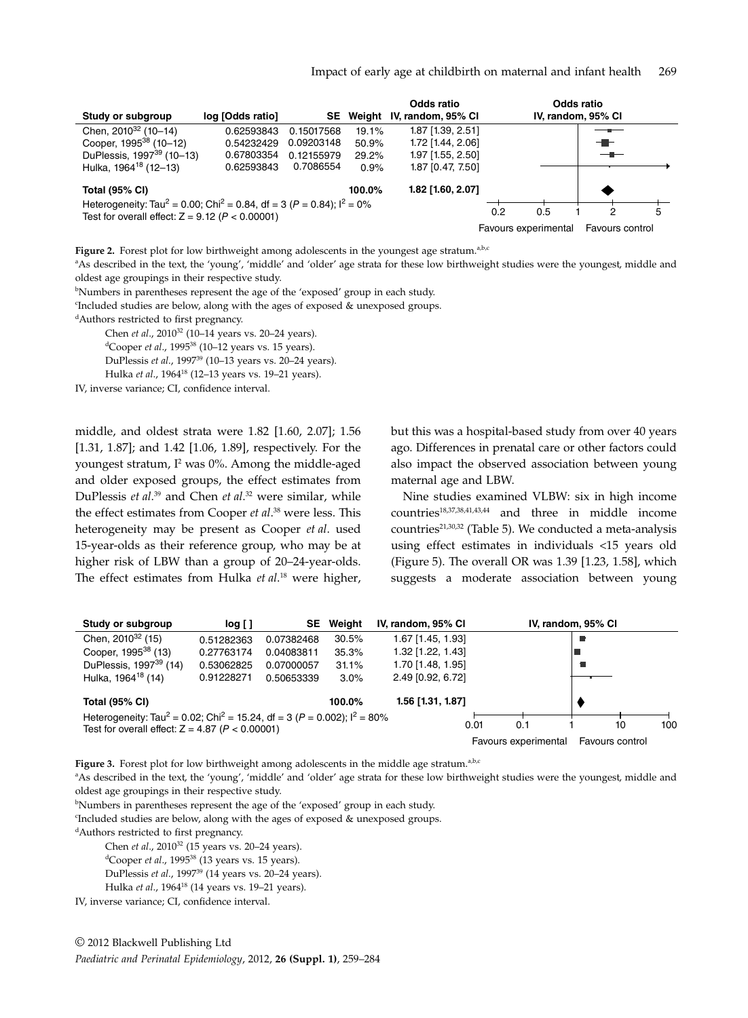#### Impact of early age at childbirth on maternal and infant health 269

| Study or subgroup                                                                                                                                                   | log [Odds ratio]         | SE                       |                | <b>Odds ratio</b><br>Weight IV, random, 95% CI |     | Odds ratio<br>IV, random, 95% CI |                 |   |
|---------------------------------------------------------------------------------------------------------------------------------------------------------------------|--------------------------|--------------------------|----------------|------------------------------------------------|-----|----------------------------------|-----------------|---|
| Chen, 2010 <sup>32</sup> (10-14)                                                                                                                                    | 0.62593843               | 0.15017568               | 19.1%          | 1.87 [1.39, 2.51]                              |     |                                  | ———             |   |
| Cooper, 1995 <sup>38</sup> (10-12)<br>DuPlessis, 1997 <sup>39</sup> (10-13)                                                                                         | 0.54232429<br>0.67803354 | 0.09203148<br>0.12155979 | 50.9%<br>29.2% | 1.72 [1.44, 2.06]<br>1.97 [1.55, 2.50]         |     |                                  | ╶┲<br>——        |   |
| Hulka, 1964 <sup>18</sup> (12-13)                                                                                                                                   | 0.62593843               | 0.7086554                | 0.9%           | 1.87 [0.47, 7.50]                              |     |                                  |                 |   |
| <b>Total (95% CI)</b>                                                                                                                                               |                          |                          | 100.0%         | 1.82 [1.60, 2.07]                              |     |                                  |                 |   |
| Heterogeneity: Tau <sup>2</sup> = 0.00; Chi <sup>2</sup> = 0.84, df = 3 ( $P$ = 0.84); l <sup>2</sup> = 0%<br>Test for overall effect: $Z = 9.12$ ( $P < 0.00001$ ) |                          |                          |                |                                                | 0.2 | 0.5                              | 0               | 5 |
|                                                                                                                                                                     |                          |                          |                |                                                |     | Favours experimental             | Favours control |   |

Figure 2. Forest plot for low birthweight among adolescents in the youngest age stratum.<sup>a,b,c</sup>

<sup>a</sup>As described in the text, the 'young', 'middle' and 'older' age strata for these low birthweight studies were the youngest, middle and oldest age groupings in their respective study.

<sup>b</sup>Numbers in parentheses represent the age of the 'exposed' group in each study.

c Included studies are below, along with the ages of exposed & unexposed groups.

<sup>d</sup>Authors restricted to first pregnancy.

Chen *et al.*, 2010<sup>32</sup> (10-14 years vs. 20-24 years). <sup>d</sup>Cooper *et al*., 1995<sup>38</sup> (10–12 years vs. 15 years). DuPlessis *et al*., 1997<sup>39</sup> (10–13 years vs. 20–24 years). Hulka *et al*., 1964<sup>18</sup> (12–13 years vs. 19–21 years).

IV, inverse variance; CI, confidence interval.

middle, and oldest strata were 1.82 [1.60, 2.07]; 1.56 [1.31, 1.87]; and 1.42 [1.06, 1.89], respectively. For the youngest stratum, I<sup>2</sup> was 0%. Among the middle-aged and older exposed groups, the effect estimates from DuPlessis *et al*. <sup>39</sup> and Chen *et al*. <sup>32</sup> were similar, while the effect estimates from Cooper *et al*. <sup>38</sup> were less. This heterogeneity may be present as Cooper *et al*. used 15-year-olds as their reference group, who may be at higher risk of LBW than a group of 20–24-year-olds. The effect estimates from Hulka *et al*. <sup>18</sup> were higher,

but this was a hospital-based study from over 40 years ago. Differences in prenatal care or other factors could also impact the observed association between young maternal age and LBW.

Nine studies examined VLBW: six in high income countries18,37,38,41,43,44 and three in middle income countries $21,30,32$  (Table 5). We conducted a meta-analysis using effect estimates in individuals <15 years old (Figure 5). The overall OR was 1.39 [1.23, 1.58], which suggests a moderate association between young

| Study or subgroup                                                                                                                                                      | log[]      |            | <b>SE</b> Weight | IV, random, 95% CI |      | IV, random, 95% CI   |                        |     |
|------------------------------------------------------------------------------------------------------------------------------------------------------------------------|------------|------------|------------------|--------------------|------|----------------------|------------------------|-----|
| Chen, $2010^{32}$ (15)                                                                                                                                                 | 0.51282363 | 0.07382468 | 30.5%            | 1.67 [1.45, 1.93]  |      |                      |                        |     |
| Cooper, 1995 <sup>38</sup> (13)                                                                                                                                        | 0.27763174 | 0.04083811 | 35.3%            | 1.32 [1.22, 1.43]  |      |                      |                        |     |
| DuPlessis, 1997 <sup>39</sup> (14)                                                                                                                                     | 0.53062825 | 0.07000057 | 31.1%            | 1.70 [1.48, 1.95]  |      |                      |                        |     |
| Hulka, 1964 <sup>18</sup> (14)                                                                                                                                         | 0.91228271 | 0.50653339 | 3.0%             | 2.49 [0.92, 6.72]  |      |                      |                        |     |
| <b>Total (95% CI)</b>                                                                                                                                                  |            |            | 100.0%           | 1.56 [1.31, 1.87]  |      |                      |                        |     |
| Heterogeneity: Tau <sup>2</sup> = 0.02; Chi <sup>2</sup> = 15.24, df = 3 ( $P$ = 0.002); l <sup>2</sup> = 80%<br>Test for overall effect: $Z = 4.87$ ( $P < 0.00001$ ) |            |            |                  |                    | 0.01 | 0.1                  | 10                     | 100 |
|                                                                                                                                                                        |            |            |                  |                    |      | Favours experimental | <b>Favours control</b> |     |

Figure 3. Forest plot for low birthweight among adolescents in the middle age stratum.<sup>a,b,c</sup>

<sup>a</sup>As described in the text, the 'young', 'middle' and 'older' age strata for these low birthweight studies were the youngest, middle and oldest age groupings in their respective study.

<sup>b</sup>Numbers in parentheses represent the age of the 'exposed' group in each study.

c Included studies are below, along with the ages of exposed & unexposed groups.

<sup>d</sup>Authors restricted to first pregnancy.

Chen *et al.*, 2010<sup>32</sup> (15 years vs. 20-24 years).

<sup>d</sup>Cooper *et al.*, 1995<sup>38</sup> (13 years vs. 15 years).

DuPlessis *et al*., 1997<sup>39</sup> (14 years vs. 20–24 years).

Hulka *et al.*, 1964<sup>18</sup> (14 years vs. 19-21 years).

IV, inverse variance; CI, confidence interval.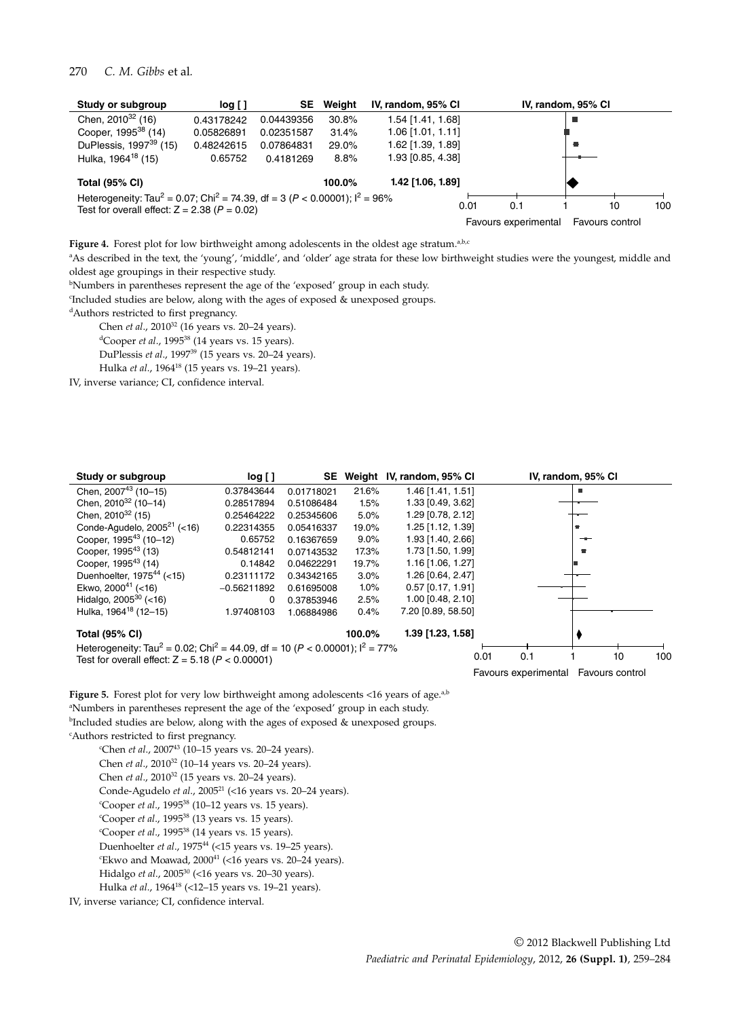#### 270 *C. M. Gibbs* et al*.*

| Study or subgroup                                                                                                                                                     | log[]      | SE.        | Weight | IV, random, 95% CI  |                      | IV, random, 95% CI |           |
|-----------------------------------------------------------------------------------------------------------------------------------------------------------------------|------------|------------|--------|---------------------|----------------------|--------------------|-----------|
| Chen, 2010 <sup>32</sup> (16)                                                                                                                                         | 0.43178242 | 0.04439356 | 30.8%  | 1.54 [1.41, 1.68]   |                      |                    |           |
| Cooper, 1995 <sup>38</sup> (14)                                                                                                                                       | 0.05826891 | 0.02351587 | 31.4%  | $1.06$ [1.01, 1.11] |                      |                    |           |
| DuPlessis, 1997 <sup>39</sup> (15)                                                                                                                                    | 0.48242615 | 0.07864831 | 29.0%  | 1.62 [1.39, 1.89]   |                      |                    |           |
| Hulka, 1964 <sup>18</sup> (15)                                                                                                                                        | 0.65752    | 0.4181269  | 8.8%   | 1.93 [0.85, 4.38]   |                      |                    |           |
| <b>Total (95% CI)</b>                                                                                                                                                 |            |            | 100.0% | 1.42 [1.06, 1.89]   |                      |                    |           |
| Heterogeneity: Tau <sup>2</sup> = 0.07; Chi <sup>2</sup> = 74.39, df = 3 ( $P$ < 0.00001); l <sup>2</sup> = 96%<br>Test for overall effect: $Z = 2.38$ ( $P = 0.02$ ) |            |            |        |                     | 0.01<br>0.1          |                    | 100<br>10 |
|                                                                                                                                                                       |            |            |        |                     | Favours experimental | Favours control    |           |

**Figure 4.** Forest plot for low birthweight among adolescents in the oldest age stratum.<sup>a,b,c</sup>

<sup>a</sup>As described in the text, the 'young', 'middle', and 'older' age strata for these low birthweight studies were the youngest, middle and oldest age groupings in their respective study.

<sup>b</sup>Numbers in parentheses represent the age of the 'exposed' group in each study.

c Included studies are below, along with the ages of exposed & unexposed groups.

<sup>d</sup>Authors restricted to first pregnancy.

Chen *et al.*, 2010<sup>32</sup> (16 years vs. 20–24 years). <sup>d</sup>Cooper *et al.*, 1995<sup>38</sup> (14 years vs. 15 years). DuPlessis *et al*., 1997<sup>39</sup> (15 years vs. 20–24 years). Hulka *et al.*, 1964<sup>18</sup> (15 years vs. 19-21 years).

IV, inverse variance; CI, confidence interval.

| Study or subgroup                                                                                                                                                | log[]         |            |         | SE Weight IV, random, 95% CI | IV, random, 95% CI |
|------------------------------------------------------------------------------------------------------------------------------------------------------------------|---------------|------------|---------|------------------------------|--------------------|
| Chen, 2007 <sup>43</sup> (10-15)                                                                                                                                 | 0.37843644    | 0.01718021 | 21.6%   | 1.46 [1.41, 1.51]            |                    |
| Chen. 2010 <sup>32</sup> (10-14)                                                                                                                                 | 0.28517894    | 0.51086484 | 1.5%    | 1.33 [0.49, 3.62]            |                    |
| Chen, 2010 <sup>32</sup> (15)                                                                                                                                    | 0.25464222    | 0.25345606 | 5.0%    | 1.29 [0.78, 2.12]            |                    |
| Conde-Aqudelo, $2005^{21}$ (<16)                                                                                                                                 | 0.22314355    | 0.05416337 | 19.0%   | 1.25 [1.12, 1.39]            |                    |
| Cooper, 1995 <sup>43</sup> (10-12)                                                                                                                               | 0.65752       | 0.16367659 | $9.0\%$ | 1.93 [1.40, 2.66]            |                    |
| Cooper, 1995 <sup>43</sup> (13)                                                                                                                                  | 0.54812141    | 0.07143532 | 17.3%   | 1.73 [1.50, 1.99]            | ÷                  |
| Cooper, 1995 <sup>43</sup> (14)                                                                                                                                  | 0.14842       | 0.04622291 | 19.7%   | $1.16$ [1.06, 1.27]          |                    |
| Duenhoelter, $1975^{44}$ (<15)                                                                                                                                   | 0.23111172    | 0.34342165 | 3.0%    | 1.26 [0.64, 2.47]            |                    |
| Ekwo. $2000^{41}$ (<16)                                                                                                                                          | $-0.56211892$ | 0.61695008 | 1.0%    | $0.57$ [0.17, 1.91]          |                    |
| Hidalgo, $2005^{30}$ (<16)                                                                                                                                       | 0             | 0.37853946 | 2.5%    | 1.00 [0.48, 2.10]            |                    |
| Hulka, 1964 <sup>18</sup> (12-15)                                                                                                                                | 1.97408103    | 1.06884986 | 0.4%    | 7.20 [0.89, 58.50]           |                    |
| <b>Total (95% CI)</b>                                                                                                                                            |               |            | 100.0%  | 1.39 [1.23, 1.58]            |                    |
| Heterogeneity: Tau <sup>2</sup> = 0.02; Chi <sup>2</sup> = 44.09, df = 10 ( $P$ < 0.00001); $I^2$ = 77%<br>Test for overall effect: $Z = 5.18$ ( $P < 0.00001$ ) |               |            |         | 0.01                         | 0.1<br>100<br>10   |

Favours experimental Favours control

Figure 5. Forest plot for very low birthweight among adolescents <16 years of age.<sup>a,b</sup> <sup>a</sup>Numbers in parentheses represent the age of the 'exposed' group in each study. b Included studies are below, along with the ages of exposed & unexposed groups. <sup>c</sup>Authors restricted to first pregnancy.

<sup>c</sup>Chen *et al*., 2007<sup>43</sup> (10–15 years vs. 20–24 years). Chen *et al.*, 2010<sup>32</sup> (10-14 years vs. 20-24 years). Chen *et al.*, 2010<sup>32</sup> (15 years vs. 20-24 years). Conde-Agudelo *et al.*, 2005<sup>21</sup> (<16 years vs. 20-24 years). <sup>c</sup>Cooper *et al*., 1995<sup>38</sup> (10–12 years vs. 15 years). <sup>c</sup>Cooper *et al.*, 1995<sup>38</sup> (13 years vs. 15 years). <sup>c</sup>Cooper *et al.*, 1995<sup>38</sup> (14 years vs. 15 years). Duenhoelter *et al.*, 1975<sup>44</sup> (<15 years vs. 19–25 years).  $E$ kwo and Moawad, 2000 $41$  (<16 years vs. 20–24 years). Hidalgo *et al.*, 2005<sup>30</sup> (<16 years vs. 20-30 years). Hulka *et al*., 1964<sup>18</sup> (<12–15 years vs. 19–21 years).

IV, inverse variance; CI, confidence interval.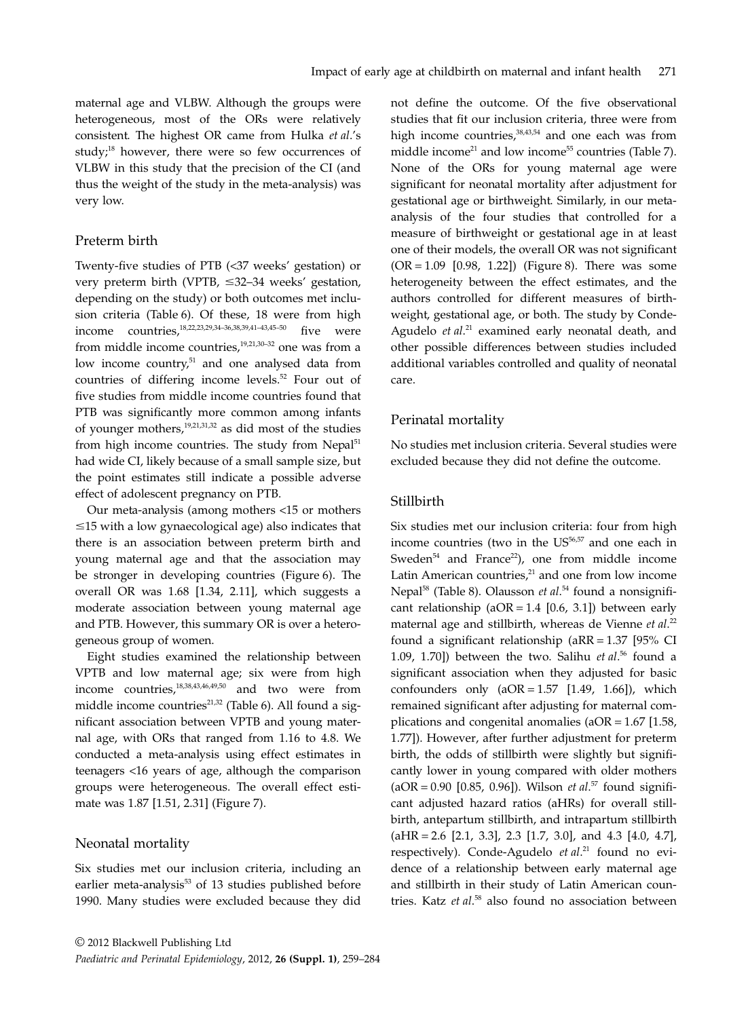maternal age and VLBW. Although the groups were heterogeneous, most of the ORs were relatively consistent. The highest OR came from Hulka *et al*.'s study; $18$  however, there were so few occurrences of VLBW in this study that the precision of the CI (and thus the weight of the study in the meta-analysis) was very low.

# Preterm birth

Twenty-five studies of PTB (<37 weeks' gestation) or very preterm birth (VPTB, ≤32-34 weeks' gestation, depending on the study) or both outcomes met inclusion criteria (Table 6). Of these, 18 were from high income countries,18,22,23,29,34–36,38,39,41–43,45–50 five were from middle income countries, $19,21,30-32$  one was from a low income country, $51$  and one analysed data from countries of differing income levels.<sup>52</sup> Four out of five studies from middle income countries found that PTB was significantly more common among infants of younger mothers, $19,21,31,32$  as did most of the studies from high income countries. The study from Nepal<sup>51</sup> had wide CI, likely because of a small sample size, but the point estimates still indicate a possible adverse effect of adolescent pregnancy on PTB.

Our meta-analysis (among mothers <15 or mothers -15 with a low gynaecological age) also indicates that there is an association between preterm birth and young maternal age and that the association may be stronger in developing countries (Figure 6). The overall OR was 1.68 [1.34, 2.11], which suggests a moderate association between young maternal age and PTB. However, this summary OR is over a heterogeneous group of women.

Eight studies examined the relationship between VPTB and low maternal age; six were from high income countries,18,38,43,46,49,50 and two were from middle income countries $2^{1,32}$  (Table 6). All found a significant association between VPTB and young maternal age, with ORs that ranged from 1.16 to 4.8. We conducted a meta-analysis using effect estimates in teenagers <16 years of age, although the comparison groups were heterogeneous. The overall effect estimate was 1.87 [1.51, 2.31] (Figure 7).

# Neonatal mortality

Six studies met our inclusion criteria, including an earlier meta-analysis<sup>53</sup> of 13 studies published before 1990. Many studies were excluded because they did not define the outcome. Of the five observational studies that fit our inclusion criteria, three were from high income countries,<sup>38,43,54</sup> and one each was from middle income $21$  and low income $55$  countries (Table 7). None of the ORs for young maternal age were significant for neonatal mortality after adjustment for gestational age or birthweight. Similarly, in our metaanalysis of the four studies that controlled for a measure of birthweight or gestational age in at least one of their models, the overall OR was not significant (OR = 1.09 [0.98, 1.22]) (Figure 8). There was some heterogeneity between the effect estimates, and the authors controlled for different measures of birthweight, gestational age, or both. The study by Conde-Agudelo *et al*. <sup>21</sup> examined early neonatal death, and other possible differences between studies included additional variables controlled and quality of neonatal care.

# Perinatal mortality

No studies met inclusion criteria. Several studies were excluded because they did not define the outcome.

# **Stillbirth**

Six studies met our inclusion criteria: four from high income countries (two in the  $US<sup>56,57</sup>$  and one each in Sweden<sup>54</sup> and France<sup>22</sup>), one from middle income Latin American countries, $21$  and one from low income Nepal<sup>58</sup> (Table 8). Olausson *et al*. <sup>54</sup> found a nonsignificant relationship ( $aOR = 1.4$  [0.6, 3.1]) between early maternal age and stillbirth, whereas de Vienne *et al*. 22 found a significant relationship (aRR = 1.37 [95% CI 1.09, 1.70]) between the two. Salihu *et al*. <sup>56</sup> found a significant association when they adjusted for basic confounders only  $(aOR = 1.57 [1.49, 1.66])$ , which remained significant after adjusting for maternal complications and congenital anomalies ( $aOR = 1.67$  [1.58, 1.77]). However, after further adjustment for preterm birth, the odds of stillbirth were slightly but significantly lower in young compared with older mothers (aOR = 0.90 [0.85, 0.96]). Wilson *et al*. <sup>57</sup> found significant adjusted hazard ratios (aHRs) for overall stillbirth, antepartum stillbirth, and intrapartum stillbirth  $(aHR = 2.6$  [2.1, 3.3], 2.3 [1.7, 3.0], and 4.3 [4.0, 4.7], respectively). Conde-Agudelo *et al*. <sup>21</sup> found no evidence of a relationship between early maternal age and stillbirth in their study of Latin American countries. Katz *et al*. <sup>58</sup> also found no association between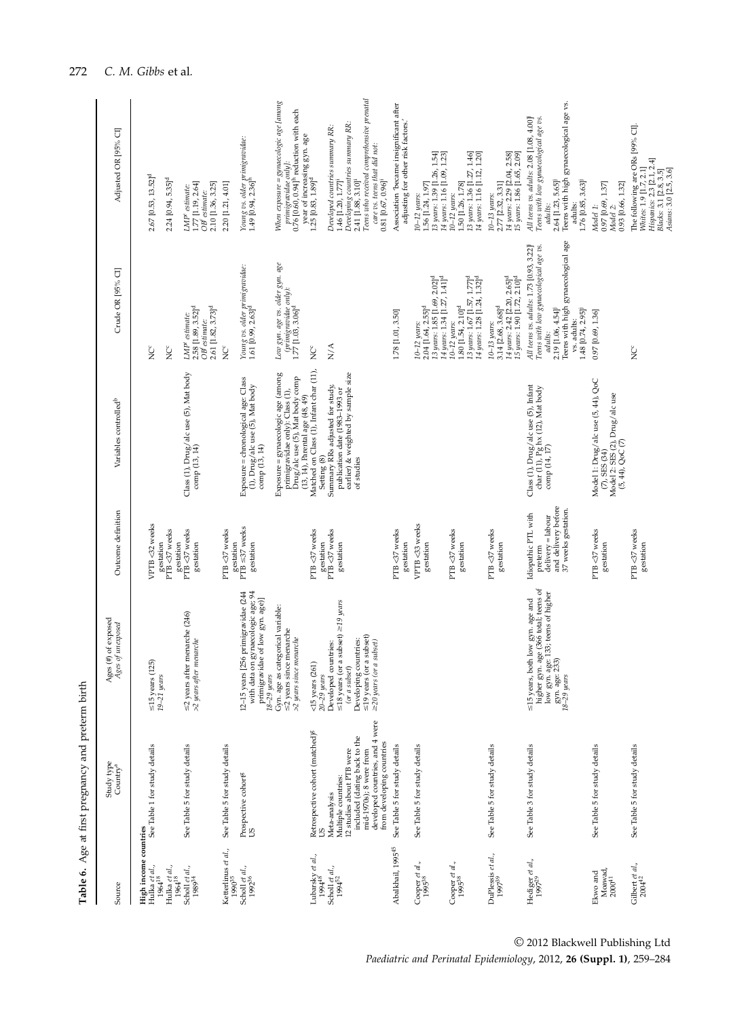| Source                                                       | Study type<br>Country <sup>a</sup>                                                                                                                                                           | of exposed<br>unexposed<br>Ages $(\#)$<br>Ages of                                                                                                                                 | Outcome definition                                                                                | Variables controlled <sup>b</sup>                                                                                                           | Crude OR [95% CI]                                                                                                                                                                          | Adjusted OR [95% CI]                                                                                                                                                                                                                                          |
|--------------------------------------------------------------|----------------------------------------------------------------------------------------------------------------------------------------------------------------------------------------------|-----------------------------------------------------------------------------------------------------------------------------------------------------------------------------------|---------------------------------------------------------------------------------------------------|---------------------------------------------------------------------------------------------------------------------------------------------|--------------------------------------------------------------------------------------------------------------------------------------------------------------------------------------------|---------------------------------------------------------------------------------------------------------------------------------------------------------------------------------------------------------------------------------------------------------------|
| High income countries<br>Hulka et al.,<br>1964 <sup>18</sup> | See Table 1 for study details                                                                                                                                                                | $\leq$ 15 years (125)                                                                                                                                                             | VPTB<32 weeks                                                                                     |                                                                                                                                             | Š                                                                                                                                                                                          | 2.67 [0.53, 13.52] <sup>d</sup>                                                                                                                                                                                                                               |
| Hulka et al., $1964^{18}$                                    |                                                                                                                                                                                              | $19-21$ years                                                                                                                                                                     | PTB<37 weeks<br>gestation<br>gestation                                                            |                                                                                                                                             | $\sum_{i=1}^{N}$                                                                                                                                                                           | 2.24 [0.94, 5.35] <sup>d</sup>                                                                                                                                                                                                                                |
| Scholl et al.,<br>$1989^{34}$                                | See Table 5 for study details                                                                                                                                                                | $\leq$ 2 years after menarche (246)<br>>2 years after menarche                                                                                                                    | PTB<37 weeks<br>gestation                                                                         | Class (1), Drug/alc use (5), Mat body<br>comp (13, 14)                                                                                      | $2.58\ [1.89, \ 3.52]^{d}$ OB/estimate:<br>2.61 [1.82, 3.73] <sup>d</sup><br>LMP <sup>e</sup> estimate:                                                                                    | $1.77\left[1.19,2.64\right]$ OB $^{\prime}$ estimate:<br>2.10 [1.36, 3.25]<br>LMP <sup>e</sup> estimate:                                                                                                                                                      |
| Ketterlinus et al.,                                          | See Table 5 for study details                                                                                                                                                                |                                                                                                                                                                                   | PTB<37 weeks                                                                                      |                                                                                                                                             | $\sum_{i=1}^{N}$                                                                                                                                                                           | 2.20 [1.21, 4.01]                                                                                                                                                                                                                                             |
| Scholl et al.,<br>1992 <sup>36</sup><br>1990 <sup>35</sup>   | Prospective cohort <sup>g</sup><br>US                                                                                                                                                        | primigravidae (244<br>ynaecologic age; 94<br>of low gyn. age)]<br>12-15 years [256<br>with data on g<br>primigravidae<br>$18 - 29$ years                                          | $PTB \leq 37$ weeks<br>gestation<br>gestation                                                     | Exposure = chronological age: Class<br>(1), Drug/alc use (5), Mat body<br>comp (13, 14)                                                     | Young vs. older primigravidae:<br>1.61 [0.99, 2.63] <sup>d</sup>                                                                                                                           | Young vs. older primigravidae:<br>1.49 [0.94, 2.36] <sup>h</sup>                                                                                                                                                                                              |
|                                                              |                                                                                                                                                                                              | Gyn. age as categorical variable:<br>$\leq$ 2 years since menarche<br>>2 years since menarche                                                                                     |                                                                                                   | Exposure = gynaecologic age (among<br>primigravidae only): Class (1),<br>Drug/alc use (5), Mat body comp<br>(13, 14), Parental age (48, 49) | Low gyn. age vs. older gyn. age<br>(primigravidae only):<br>1.77 [1.03, 3.06] <sup>d</sup>                                                                                                 | When exposure = gynaecologic age [among<br>$0.76$ [ $0.\bar{6}$ ), $0.94$ ] <sup>h</sup> reduction with each year of increasing gyn. age<br>$1.25$ [ $0.83$ , $1.89$ ] <sup>d</sup><br>primigravidae only]:                                                   |
| Lubarsky et al.,<br>1994 <sup>48</sup>                       | Retrospective cohort (matched) <sup>g</sup><br><b>SU</b>                                                                                                                                     | $<$ 15 years $(261)$<br>$20 - 29$ years                                                                                                                                           | PTB<37 weeks                                                                                      | Matched on Class (1), Infant char (11),<br>Setting $(8)$                                                                                    | Š                                                                                                                                                                                          |                                                                                                                                                                                                                                                               |
| Scholl et al.,<br>$1994^{52}$                                | developed countries, and 4 were<br>included (dating back to the<br>from developing countries<br>12 studies about PTB were<br>mid-1970s); 8 were from<br>Multiple countries:<br>Meta-analysis | $\leq$ 18 years (or a subset) $\geq$ 19 years<br>$\leq$ 19 years (or a subset)<br>$\geq$ 20 years (or a subset)<br>Developing countries:<br>Developed countries:<br>(or a subset) | gestation<br>PTB $\triangle 7$ weeks<br>gestation                                                 | earlier) & weighted by sample size<br>Summary RRs adjusted for study,<br>publication date (1983-1993 or<br>of studies                       | $\frac{A}{N}$                                                                                                                                                                              | Teens who received comprehensive prenatal<br>Developing countries summary RR:<br>Developed countries summary RR:<br>care vs. teens that did not:<br>$1.46$ [1.20, $1.77$ ] <sup>1</sup><br>$0.81 [0.67, 0.96]$ <sup>1</sup><br>2.41 [1.88, 3.10] <sup>1</sup> |
| Abalkhail, 1995 <sup>45</sup>                                | See Table 5 for study details                                                                                                                                                                |                                                                                                                                                                                   | PTB<37 weeks<br>gestation                                                                         |                                                                                                                                             | 1.78 [1.01, 3.50]                                                                                                                                                                          | Association 'became insignificant after<br>adjusting for other risk factors.'                                                                                                                                                                                 |
| Cooper et al., $1995^{38}$                                   | See Table 5 for study details                                                                                                                                                                |                                                                                                                                                                                   | VPTB<33 weeks<br>gestation                                                                        |                                                                                                                                             | 13 years: 1.85 [1.69, 2.02] <sup>d</sup><br>14 years: 1.34 [1.27, 1.41] <sup>d</sup><br>2.04 [1.64, 2.55] <sup>d</sup><br>$10-12$ years:                                                   | 13 years: 1.39 [1.26, 1.54]<br>14 years: 1.16 [1.09, 1.23]<br>1.56 [1.24, 1.97]<br>$10-12$ years:                                                                                                                                                             |
| Cooper et al., $1995^{38}$                                   |                                                                                                                                                                                              |                                                                                                                                                                                   | PTB<37 weeks<br>gestation                                                                         |                                                                                                                                             | 13 years: 1.67 [1.57, 1.77] <sup>d</sup><br>14 years: 1.28 [1.24, 1.32] <sup>d</sup><br>$1.80$ [1.54, $2.10$ ] <sup>d</sup><br>$10 - 12$ years:                                            | 13 years: 1.36 [1.27, 1.46]<br>14 years: 1.16 [1.12, 1.20]<br>1.50 [1.26, 1.78]<br>$10 - 12$ years:                                                                                                                                                           |
| DuPlessis et al.,<br>1997 <sup>39</sup>                      | See Table 5 for study details                                                                                                                                                                |                                                                                                                                                                                   | PTB<37 weeks<br>gestation                                                                         |                                                                                                                                             | 14 years: 2.42 [2.20, 2.65] <sup>d</sup><br>15 years: 1.90 [1.72, 2.10] <sup>d</sup><br>3.14 [2.68, 3.68] <sup>d</sup><br>10-13 years:                                                     | 14 years: 2.29 [2.04, 2.58]<br>15 years: 1.86 [1.65, 2.09]<br>2.77 [2.32, 3.31]<br>10-13 years:                                                                                                                                                               |
| Hediger et al.,<br>1997 <sup>29</sup>                        | See Table 3 for study details                                                                                                                                                                | higher gyn. age (366 total) teens of<br>low gyn. age: 133; teens of higher<br>gyn. age: 233)<br>$18-29$ years<br>$\leq$ 15 years, both low gyn. age and                           | and delivery before<br>37 weeks gestation.<br>Idiopathic PTL with<br>delivery = labour<br>preterm | Class (1), Drug/alc use (5), Infant<br>char (11), $Pg$ hx (12), Mat body<br>comp (14, 17)                                                   | Teens with high gynaecological age<br>All teens vs. adults: 1.73 [0.93, 3.22]<br>Teens with low gynaecological age vs.<br>2.19 [1.06, 4.54]<br>1.48 [0.74, 2.95]<br>vs. adults:<br>adults: | Teens with high gynaecological age vs.<br>All teens vs. adults: 2.08 [1.08, 4.00]<br>Teens with low gynaecological age vs.<br>2.64 [1.23, 5.65]<br>1.76 [0.85, 3.63]<br>adults:<br>adults:                                                                    |
| Moawad<br>Ekwo and<br>$2000^{41}$                            | See Table 5 for study details                                                                                                                                                                |                                                                                                                                                                                   | PTB<37 weeks<br>gestation                                                                         | Model 1: Drug/alc use (5, 44), QoC<br>Model 2: SES (2), Drug/alc use<br>$(5, 44)$ , QoC $(7)$<br>$(7),$ SES $(34)$                          | 0.97 [0.69, 1.36]                                                                                                                                                                          | $0.93$ [0.66, 1.32]<br>0.97 [0.69, 1.37]<br>Model 1:<br>Model 2:                                                                                                                                                                                              |
| Gilbert et al.,<br>$2004^{42}$                               | See Table 5 for study details                                                                                                                                                                |                                                                                                                                                                                   | PTB<37 weeks<br>gestation                                                                         |                                                                                                                                             | Š                                                                                                                                                                                          | The following are ORs [99% CI].<br>Whites: 1.9 [1.7, 2.1]<br>Hispanies: 2.3 [2.1, 2.4]<br>Blacks: 3.1 [2.8, 3.5]<br>Asians: 3.0 [2.5, 3.6]                                                                                                                    |

 $\mathbf{L} = \mathbf{L}$ 

**Table 6.** Age at first pregnancy and preterm birth

Table 6. Age at first pregnancy and preterm birth

© 2012 Blackwell Publishing Ltd *Paediatric and Perinatal Epidemiology*, 2012, **26 (Suppl. 1)**, 259–284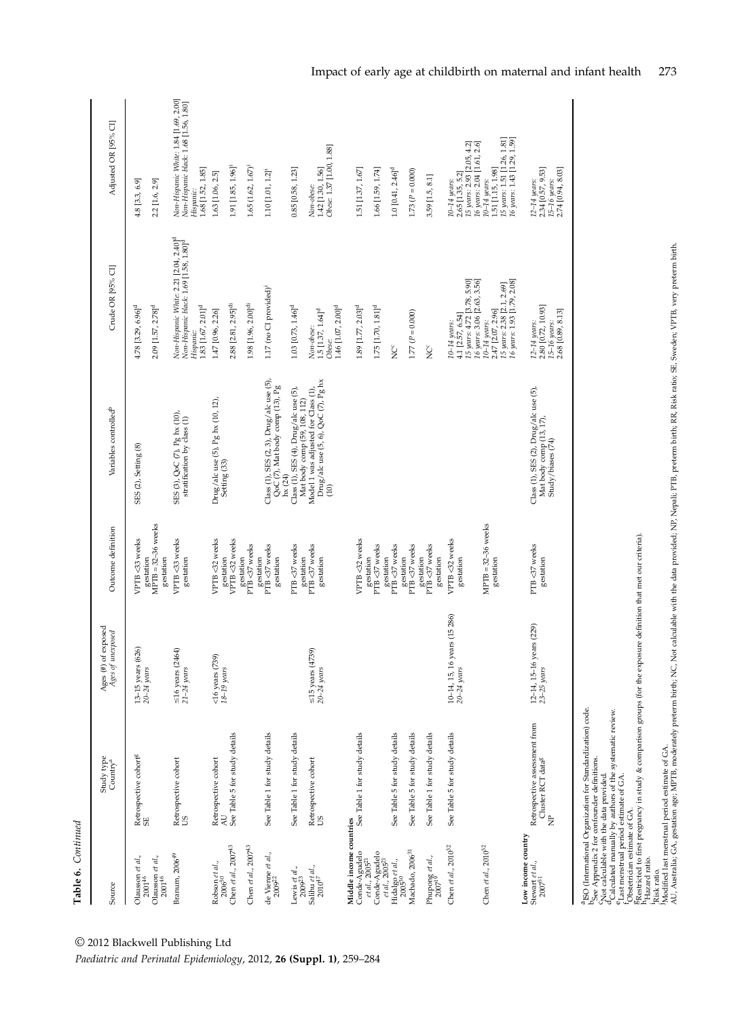| Source                                                                       | Study type<br>Country <sup>a</sup>                                                                                         | exposed<br>Ages $(\#)$ of exposed<br>Ages of unexposed | Outcome definition                                               | Variables controlled <sup>b</sup>                                                                                                       | Crude OR [95% CI]                                                                                                                                | Adjusted OR [95% CI]                                                                                             |
|------------------------------------------------------------------------------|----------------------------------------------------------------------------------------------------------------------------|--------------------------------------------------------|------------------------------------------------------------------|-----------------------------------------------------------------------------------------------------------------------------------------|--------------------------------------------------------------------------------------------------------------------------------------------------|------------------------------------------------------------------------------------------------------------------|
| Olausson et al.,<br>Olausson et al., $2001^{46}$<br>$2001^{46}$              | Retrospective cohort <sup>g</sup><br>SE                                                                                    | $13-15$ years (626)<br>$20-24$ years                   | $MPTB = 32-36$ weeks<br>VPTB <33 weeks<br>gestation<br>gestation | SES (2), Setting (8)                                                                                                                    | 2.09 [1.57, 2.78] <sup>d</sup><br>$4.78$ [3.29, 6.96] <sup>d</sup>                                                                               | 2.2 [1.6, 2.9]<br>$4.8$ [3.3, 6.9]                                                                               |
| Branum, 2006 <sup>49</sup>                                                   | Retrospective cohort<br>US                                                                                                 | $\leq$ 16 years (2464)<br>21-24 years                  | VPTB <33 weeks<br>gestation                                      | SES (3), QoC (7), Pg hx (10),<br>stratification by class (1)                                                                            | Non-Hispanic White: 2.21 [2.04, 2.40] <sup>d</sup><br>Non-Hispanic black: 1.69 [1.58, 1.80] <sup>d</sup><br>$1.83 [1.67, 2.01]^{d}$<br>Hispanic: | Non-Hispanic White: 1.84 [1.69, 2.00]<br>Non-Hispanic black: 1.68 [1.56, 1.80]<br>1.68 [1.52, 1.85]<br>Hispanic: |
| Chen et al., 2007 <sup>43</sup><br>Robson et al.,<br>2006 <sup>50</sup>      | See Table 5 for study details<br>Retrospective cohort<br>$\Delta U$                                                        | $lt$ 16 years (739)<br>$18-19$ years                   | VPTB <32 weeks<br>VPTB <32 weeks<br>gestation                    | Drug/alc use (5), Pg hx (10, 12),<br>Setting (33)                                                                                       | 2.88 [2.81, 2.95] <sup>di</sup><br>1.47 [0.96, 2.26]                                                                                             | 1.91 [1.85, 1.96] <sup>i</sup><br>1.63 [1.06, 2.5]                                                               |
| Chen et al., $2007^{43}$<br>de Vienne et al., $2009^{22}$                    | See Table 1 for study details                                                                                              |                                                        | PTB<37 weeks<br>PTB<37 weeks<br>gestation<br>gestation           | Class (1), SES (2, 3), Drug/alc use (5),                                                                                                | 1.17 (no CI provided) <sup>i</sup><br>$1.98$ [1.96, $2.00$ ] <sup>di</sup>                                                                       | $1.65(1.62, 1.67)^{i}$<br>$1.10$ $[1.01, 1.2]$ <sup>i</sup>                                                      |
| Lewis et al.,<br>$2009^{23}$                                                 | See Table 1 for study details                                                                                              |                                                        | PTB<37 weeks<br>gestation                                        | QoC (7), Mat body comp (13), Pg<br>Class (1), SES (4), Drug/alc use (5),<br>hx (24)                                                     | $1.03$ [0.73, $1.46$ ] <sup>d</sup>                                                                                                              | $0.85$ [0.58, 1.23]                                                                                              |
| Salihu et al., $2010^{47}$                                                   | Retrospective cohort<br>US                                                                                                 | $\leq$ 15 years (4739)<br>$20 - 24$ years              | gestation<br>PTB $\langle$ 37 weeks<br>gestation                 | Drug/alc use $(5, 6)$ , QoC $(7)$ , Pg hx<br>Mat body comp $(59, 108, 112)$<br>Model 1 was adjusted for Class $(1)$ ,<br>$\frac{10}{2}$ | 1.46 [1.07, 2.00] <sup>d</sup><br>$1.5$ [ $1.37$ , $1.64$ ] <sup>d</sup><br>Non-obese:<br>Obese:                                                 | Obese: 1.37 [1.00, 1.88]<br>1.42 [1.30, 1.56]<br>Non-obese:                                                      |
| Middle income countries<br>Conde-Agudelo                                     | See Table 1 for study details                                                                                              |                                                        | VPTB <32 weeks                                                   |                                                                                                                                         | 1.89 [1.77, 2.03] <sup>d</sup>                                                                                                                   | 1.51 [1.37, 1.67]                                                                                                |
| et al., 2005 <sup>21</sup><br>Conde-Agudelo<br>$et$ $al.,$ $\bar{20}05^{21}$ |                                                                                                                            |                                                        | PTB<37 weeks<br>gestation<br>gestation                           |                                                                                                                                         | $1.75$ [ $1.70$ , $1.81$ ] <sup>d</sup>                                                                                                          | 1.66 [1.59, 1.74]                                                                                                |
| Hidalgo et al.,<br>2005 <sup>30</sup>                                        | See Table 5 for study details                                                                                              |                                                        | PTB<37 weeks                                                     |                                                                                                                                         | ğ                                                                                                                                                | $1.0 [0.41, 2.46]$ <sup>d</sup>                                                                                  |
| Machado, $200631$                                                            | See Table 5 for study details                                                                                              |                                                        | PTB<37 weeks<br>gestation                                        |                                                                                                                                         | $1.77 (P = 0.000)$                                                                                                                               | $1.73 (P = 0.000)$                                                                                               |
| Phupong et al.,<br>$2007^{19}$                                               | See Table 1 for study details                                                                                              |                                                        | PTB<37 weeks<br>gestation<br>gestation                           |                                                                                                                                         | ğ                                                                                                                                                | 3.59 [1.5, 8.1]                                                                                                  |
| Chen et al., $2010^{32}$                                                     | See Table 5 for study details                                                                                              | 10-14, 15, 16 years (15 286)<br>$20 - 24$ years        | VPTB <32 weeks<br>gestation                                      |                                                                                                                                         | 15 years: 4.72 [3.78, 5.90]<br>16 years: 3.06 [2.63, 3.56]<br>4.1 [2.57, 6.54]<br>10-14 years:                                                   | 15 years: 2.93 [2.05, 4.2]<br>16 years: 2.04 [1.61, 2.6]<br>2.65 [1.35, 5.2]<br>$10-14$ years:                   |
| Chen et al., $2010^{32}$                                                     |                                                                                                                            |                                                        | $MPTB = 32-36$ weeks<br>gestation                                |                                                                                                                                         | $\begin{array}{l} 2.47\ [2.07,\,2.96] \\ 15\ years:\,2.38\ [2.1,\,2.69] \\ 16\ years:\,1.93\ [1.79,\,2.08] \end{array}$<br>10-14 years:          | 15 years: 1.51 [1.26, 1.81]<br>16 years: 1.43 [1.29, 1.59]<br>1.51 [1.15, 1.98]<br>10-14 years:                  |
| Low income country<br>Stewart et al., $2007^{51}$                            | Retrospective assessment from<br>Cluster RCT data <sup>8</sup><br>$\overline{z}$                                           | 12-14, 15-16 years (229)<br>$23 - 25$ years            | PTB<37 weeks<br>gestation                                        | Class (1), SES (2), Drug/alc use (5),<br>Mat body comp (13, 17),<br>Study/biases (74)                                                   | $\begin{array}{c} 12\text{--}14 \text{ years:}\\ 2.80 \text{ [}0.72 \text{, } 10.93 \text{]}\end{array}$<br>2.68 [0.89, 8.13]<br>15-16 years:    | 2.34 [0.57, 9.53]<br>2.74 [0.94, 8.03]<br>$12-14$ years:<br>15-16 years:                                         |
|                                                                              | a<br>150 (International Organization for Standardization) code.<br><sup>D</sup> See Appendix 2 for confounder definitions. |                                                        |                                                                  |                                                                                                                                         |                                                                                                                                                  |                                                                                                                  |

cNot calculable with the data provided.

d  $\alpha$  calculated manually by authors of the systematic review.

eLast menstrual period estimate of GA. fObstetrician estimate of GA.

hHazard ratio. iRisk ratio.

jModified last menstrual period estimate of GA.

AU, Australia; GA, gestation age; MPTB, moderately preterm birth; NC, Not calculable with the data provided; NP, Nepali; PTB, preterm birth; RR, Risk ratio; SE, Sweden; VPTB, very preterm birth.

 $\mathbb{R}$ Restricted to first pregnancy in study  $\&$  comparison groups (for the exposure definition that met our criteria).

Table 6. Continued **Table 6.** *Continued*

*Paediatric and Perinatal Epidemiology*, 2012, **26 (Suppl. 1)**, 259–284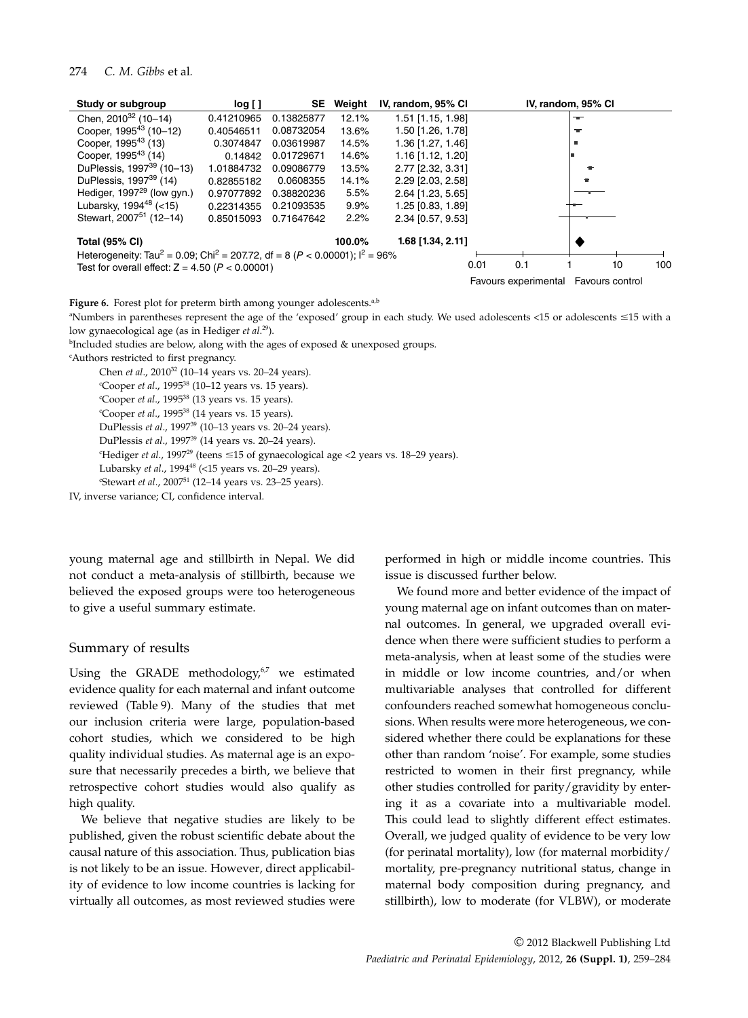#### 274 *C. M. Gibbs* et al*.*

| Study or subgroup                                                                                    | log 11     | SE.        | Weight  | IV, random, 95% CI |      |                                      | IV, random, 95% CI |    |     |
|------------------------------------------------------------------------------------------------------|------------|------------|---------|--------------------|------|--------------------------------------|--------------------|----|-----|
| Chen, $2010^{32}$ (10-14)                                                                            | 0.41210965 | 0.13825877 | 12.1%   | 1.51 [1.15, 1.98]  |      |                                      | --                 |    |     |
| Cooper, 1995 <sup>43</sup> (10-12)                                                                   | 0.40546511 | 0.08732054 | 13.6%   | 1.50 [1.26, 1.78]  |      |                                      | --                 |    |     |
| Cooper, 1995 <sup>43</sup> (13)                                                                      | 0.3074847  | 0.03619987 | 14.5%   | 1.36 [1.27, 1.46]  |      |                                      |                    |    |     |
| Cooper, 1995 <sup>43</sup> (14)                                                                      | 0.14842    | 0.01729671 | 14.6%   | 1.16 [1.12, 1.20]  |      |                                      |                    |    |     |
| DuPlessis, 1997 <sup>39</sup> (10-13)                                                                | 1.01884732 | 0.09086779 | 13.5%   | 2.77 [2.32, 3.31]  |      |                                      | ╼                  |    |     |
| DuPlessis, 1997 <sup>39</sup> (14)                                                                   | 0.82855182 | 0.0608355  | 14.1%   | 2.29 [2.03, 2.58]  |      |                                      |                    |    |     |
| Hediger, $1997^{29}$ (low gyn.)                                                                      | 0.97077892 | 0.38820236 | 5.5%    | 2.64 [1.23, 5.65]  |      |                                      |                    |    |     |
| Lubarsky, 1994 $48$ (<15)                                                                            | 0.22314355 | 0.21093535 | $9.9\%$ | 1.25 [0.83, 1.89]  |      |                                      |                    |    |     |
| Stewart. 2007 <sup>51</sup> (12-14)                                                                  | 0.85015093 | 0.71647642 | 2.2%    | 2.34 [0.57, 9.53]  |      |                                      |                    |    |     |
| <b>Total (95% CI)</b>                                                                                |            |            | 100.0%  | 1.68 [1.34, 2.11]  |      |                                      |                    |    |     |
| Heterogeneity: Tau <sup>2</sup> = 0.09; Chi <sup>2</sup> = 207.72, df = 8 (P < 0.00001); $l^2$ = 96% |            |            |         |                    |      |                                      |                    |    |     |
| Test for overall effect: $Z = 4.50$ ( $P < 0.00001$ )                                                |            |            |         |                    | 0.01 | 0.1                                  |                    | 10 | 100 |
|                                                                                                      |            |            |         |                    |      | Favours experimental Favours control |                    |    |     |

Figure 6. Forest plot for preterm birth among younger adolescents.<sup>a,b</sup>

<sup>a</sup>Numbers in parentheses represent the age of the 'exposed' group in each study. We used adolescents <15 or adolescents ≤15 with a low gynaecological age (as in Hediger *et al*. <sup>29</sup>).

b Included studies are below, along with the ages of exposed & unexposed groups.

<sup>c</sup>Authors restricted to first pregnancy.

Chen *et al.*, 2010<sup>32</sup> (10-14 years vs. 20-24 years).

<sup>c</sup>Cooper *et al*., 1995<sup>38</sup> (10–12 years vs. 15 years).

<sup>c</sup>Cooper *et al*., 1995<sup>38</sup> (13 years vs. 15 years).

<sup>c</sup>Cooper *et al.*, 1995<sup>38</sup> (14 years vs. 15 years).

DuPlessis *et al*., 1997<sup>39</sup> (10–13 years vs. 20–24 years).

DuPlessis *et al*., 1997<sup>39</sup> (14 years vs. 20–24 years).

<sup>c</sup>Hediger *et al.*, 1997<sup>29</sup> (teens ≤15 of gynaecological age <2 years vs. 18–29 years).

Lubarsky *et al.*, 1994<sup>48</sup> (<15 years vs. 20-29 years).

<sup>c</sup>Stewart *et al*., 2007<sup>51</sup> (12–14 years vs. 23–25 years).

IV, inverse variance; CI, confidence interval.

young maternal age and stillbirth in Nepal. We did not conduct a meta-analysis of stillbirth, because we believed the exposed groups were too heterogeneous to give a useful summary estimate.

## Summary of results

Using the GRADE methodology,<sup>6,7</sup> we estimated evidence quality for each maternal and infant outcome reviewed (Table 9). Many of the studies that met our inclusion criteria were large, population-based cohort studies, which we considered to be high quality individual studies. As maternal age is an exposure that necessarily precedes a birth, we believe that retrospective cohort studies would also qualify as high quality.

We believe that negative studies are likely to be published, given the robust scientific debate about the causal nature of this association. Thus, publication bias is not likely to be an issue. However, direct applicability of evidence to low income countries is lacking for virtually all outcomes, as most reviewed studies were

performed in high or middle income countries. This issue is discussed further below.

We found more and better evidence of the impact of young maternal age on infant outcomes than on maternal outcomes. In general, we upgraded overall evidence when there were sufficient studies to perform a meta-analysis, when at least some of the studies were in middle or low income countries, and/or when multivariable analyses that controlled for different confounders reached somewhat homogeneous conclusions. When results were more heterogeneous, we considered whether there could be explanations for these other than random 'noise'. For example, some studies restricted to women in their first pregnancy, while other studies controlled for parity/gravidity by entering it as a covariate into a multivariable model. This could lead to slightly different effect estimates. Overall, we judged quality of evidence to be very low (for perinatal mortality), low (for maternal morbidity/ mortality, pre-pregnancy nutritional status, change in maternal body composition during pregnancy, and stillbirth), low to moderate (for VLBW), or moderate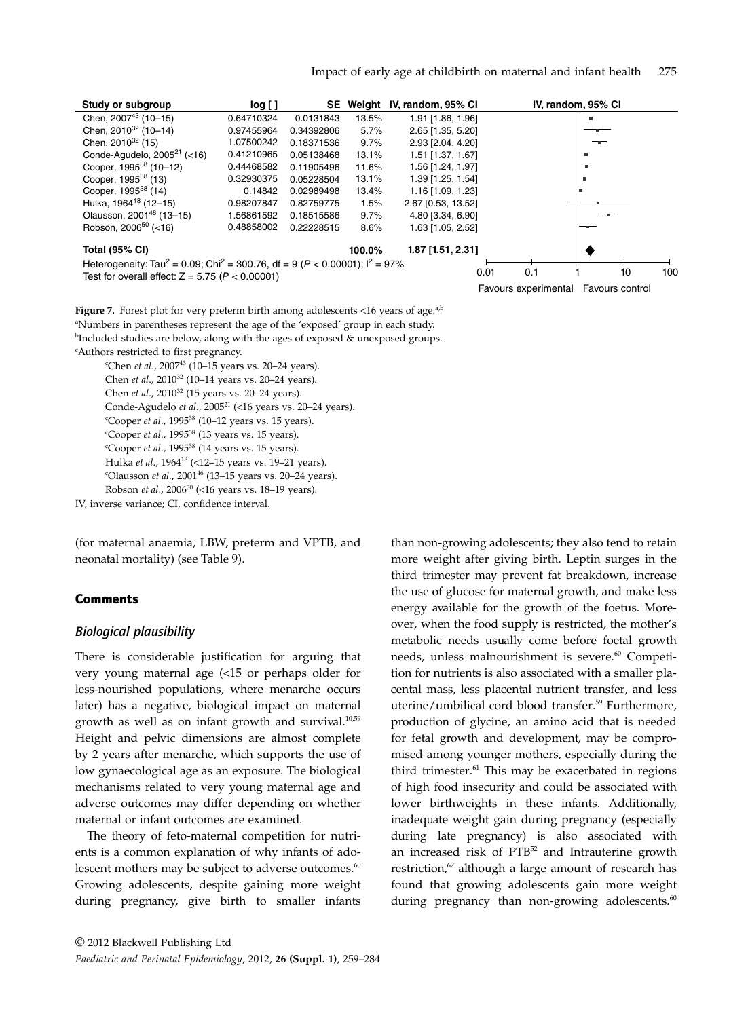| Study or subgroup                                                                                    | log[]      |            | <b>SE</b> Weight | IV, random, 95% CI |                                      | IV, random, 95% CI |     |
|------------------------------------------------------------------------------------------------------|------------|------------|------------------|--------------------|--------------------------------------|--------------------|-----|
| Chen. 2007 <sup>43</sup> (10-15)                                                                     | 0.64710324 | 0.0131843  | 13.5%            | 1.91 [1.86, 1.96]  |                                      |                    |     |
| Chen, 2010 <sup>32</sup> (10-14)                                                                     | 0.97455964 | 0.34392806 | 5.7%             | 2.65 [1.35, 5.20]  |                                      |                    |     |
| Chen, 2010 <sup>32</sup> (15)                                                                        | 1.07500242 | 0.18371536 | 9.7%             | 2.93 [2.04, 4.20]  |                                      |                    |     |
| Conde-Aqudelo, $2005^{21}$ (<16)                                                                     | 0.41210965 | 0.05138468 | 13.1%            | 1.51 [1.37, 1.67]  |                                      |                    |     |
| Cooper, 1995 <sup>38</sup> (10-12)                                                                   | 0.44468582 | 0.11905496 | 11.6%            | 1.56 [1.24, 1.97]  |                                      | --                 |     |
| Cooper, 1995 <sup>38</sup> (13)                                                                      | 0.32930375 | 0.05228504 | 13.1%            | 1.39 [1.25, 1.54]  |                                      |                    |     |
| Cooper, 1995 <sup>38</sup> (14)                                                                      | 0.14842    | 0.02989498 | 13.4%            | 1.16 [1.09, 1.23]  |                                      |                    |     |
| Hulka, 1964 <sup>18</sup> (12-15)                                                                    | 0.98207847 | 0.82759775 | 1.5%             | 2.67 [0.53, 13.52] |                                      |                    |     |
| Olausson, 2001 <sup>46</sup> (13-15)                                                                 | 1.56861592 | 0.18515586 | 9.7%             | 4.80 [3.34, 6.90]  |                                      |                    |     |
| Robson, $2006^{50}$ (<16)                                                                            | 0.48858002 | 0.22228515 | 8.6%             | 1.63 [1.05, 2.52]  |                                      |                    |     |
| <b>Total (95% CI)</b>                                                                                |            |            | 100.0%           | 1.87 [1.51, 2.31]  |                                      |                    |     |
| Heterogeneity: Tau <sup>2</sup> = 0.09; Chi <sup>2</sup> = 300.76, df = 9 (P < 0.00001); $I^2$ = 97% |            |            |                  |                    |                                      |                    |     |
| Test for overall effect: $Z = 5.75$ ( $P < 0.00001$ )                                                |            |            |                  |                    | 0.1<br>0.01                          | 10                 | 100 |
|                                                                                                      |            |            |                  |                    | Favours experimental Favours control |                    |     |

**Figure 7.** Forest plot for very preterm birth among adolescents <16 years of age.<sup>a,b</sup> <sup>a</sup>Numbers in parentheses represent the age of the 'exposed' group in each study. b Included studies are below, along with the ages of exposed & unexposed groups. <sup>c</sup>Authors restricted to first pregnancy.

<sup>c</sup>Chen *et al*., 2007<sup>43</sup> (10–15 years vs. 20–24 years). Chen *et al.*, 2010<sup>32</sup> (10–14 years vs. 20–24 years). Chen *et al.*, 2010<sup>32</sup> (15 years vs. 20–24 years). Conde-Agudelo *et al*., 2005<sup>21</sup> (<16 years vs. 20–24 years). <sup>c</sup>Cooper *et al*., 1995<sup>38</sup> (10–12 years vs. 15 years). <sup>c</sup>Cooper *et al.*, 1995<sup>38</sup> (13 years vs. 15 years). <sup>c</sup>Cooper *et al.*, 1995<sup>38</sup> (14 years vs. 15 years). Hulka *et al.*, 1964<sup>18</sup> (<12-15 years vs. 19-21 years). <sup>c</sup>Olausson *et al*., 2001<sup>46</sup> (13–15 years vs. 20–24 years). Robson *et al.*, 2006<sup>50</sup> (<16 years vs. 18-19 years).

IV, inverse variance; CI, confidence interval.

(for maternal anaemia, LBW, preterm and VPTB, and neonatal mortality) (see Table 9).

## **Comments**

#### *Biological plausibility*

There is considerable justification for arguing that very young maternal age (<15 or perhaps older for less-nourished populations, where menarche occurs later) has a negative, biological impact on maternal growth as well as on infant growth and survival.10,59 Height and pelvic dimensions are almost complete by 2 years after menarche, which supports the use of low gynaecological age as an exposure. The biological mechanisms related to very young maternal age and adverse outcomes may differ depending on whether maternal or infant outcomes are examined.

The theory of feto-maternal competition for nutrients is a common explanation of why infants of adolescent mothers may be subject to adverse outcomes.<sup>60</sup> Growing adolescents, despite gaining more weight during pregnancy, give birth to smaller infants than non-growing adolescents; they also tend to retain more weight after giving birth. Leptin surges in the third trimester may prevent fat breakdown, increase the use of glucose for maternal growth, and make less energy available for the growth of the foetus. Moreover, when the food supply is restricted, the mother's metabolic needs usually come before foetal growth needs, unless malnourishment is severe.<sup>60</sup> Competition for nutrients is also associated with a smaller placental mass, less placental nutrient transfer, and less uterine/umbilical cord blood transfer.<sup>59</sup> Furthermore, production of glycine, an amino acid that is needed for fetal growth and development, may be compromised among younger mothers, especially during the third trimester.<sup>61</sup> This may be exacerbated in regions of high food insecurity and could be associated with lower birthweights in these infants. Additionally, inadequate weight gain during pregnancy (especially during late pregnancy) is also associated with an increased risk of PTB<sup>52</sup> and Intrauterine growth restriction,<sup>62</sup> although a large amount of research has found that growing adolescents gain more weight during pregnancy than non-growing adolescents. $60$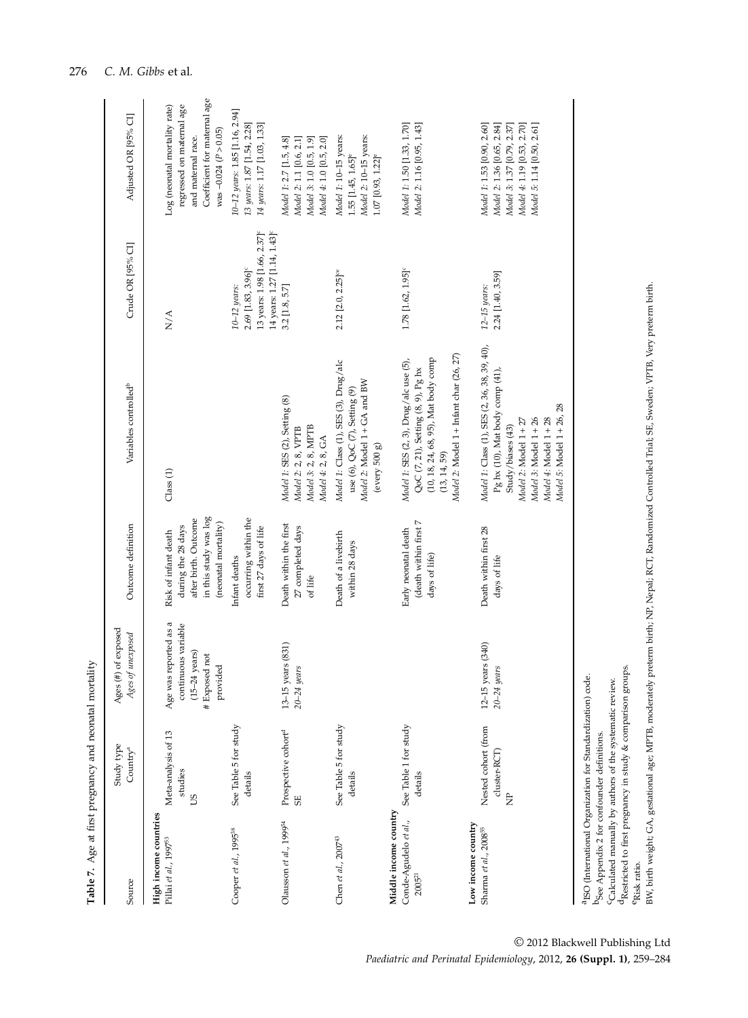| Source                                                        | Study type<br>Country <sup>a</sup>                                      | exposed<br>Ages of unexposed<br>Ages (#) of                                                          | Outcome definition                                                                                                  | Variables controlled <sup>b</sup>                                                                                                                                                                          | Crude OR [95% CI]                                                                                                                      | Adjusted OR [95% CI]                                                                                                                               |
|---------------------------------------------------------------|-------------------------------------------------------------------------|------------------------------------------------------------------------------------------------------|---------------------------------------------------------------------------------------------------------------------|------------------------------------------------------------------------------------------------------------------------------------------------------------------------------------------------------------|----------------------------------------------------------------------------------------------------------------------------------------|----------------------------------------------------------------------------------------------------------------------------------------------------|
| High income countries<br>Pillai et al., 1997 <sup>53</sup>    | Meta-analysis of 13<br>studies<br>SU                                    | Age was reported as a<br>continuous variable<br>$(15-24 \text{ years})$<br># Exposed not<br>provided | in this study was log<br>after birth. Outcome<br>(neonatal mortality)<br>during the 28 days<br>Risk of infant death | Class (1)                                                                                                                                                                                                  | N/A                                                                                                                                    | Coefficient for maternal age<br>regressed on maternal age<br>Log (neonatal mortality rate)<br>was $-0.024$ ( $P > 0.05$ )<br>and maternal race.    |
| Cooper et al., 1995 <sup>38</sup>                             | See Table 5 for study<br>details                                        |                                                                                                      | occurring within the<br>first 27 days of life<br>Infant deaths                                                      |                                                                                                                                                                                                            | 13 years: 1.98 [1.66, 2.37] <sup>c</sup><br>14 years: 1.27 [1.14, 1.43] <sup>c</sup><br>2.69 [1.83, 3.96] <sup>c</sup><br>10-12 years: | 10-12 years: 1.85 [1.16, 2.94]<br>13 years: 1.87 [1.54, 2.28]<br>14 years: 1.17 [1.03, 1.33]                                                       |
| Olausson et al., 1999 <sup>54</sup>                           | Prospective cohort <sup>d</sup><br>55                                   | 13-15 years (831)<br>$20 - 24$ years                                                                 | Death within the first<br>27 completed days<br>of life                                                              | Model 1: SES (2), Setting (8)<br>Model 3: 2, 8, MPTB<br>Model 2: 2, 8, VPTB<br>Model 4: 2, 8, GA                                                                                                           | $3.2$ [1.8, 5.7]                                                                                                                       | Model 1: 2.7 [1.5, 4.8]<br>Model 4: 1.0 [0.5, 2.0]<br>Model 2: 1.1 [0.6, 2.1]<br>Model 3: 1.0 [0.5, 1.9]                                           |
| Chen et al., 2007 <sup>43</sup>                               | See Table 5 for study<br>details                                        |                                                                                                      | Death of a livebirth<br>within 28 days                                                                              | Model 1: Class (1), SES (3), Drug/alc<br>Model 2: Model 1+GA and BW<br>use (6), QoC (7), Setting (9)<br>(every 500 $g$ )                                                                                   | $2.12$ [2.0, $2.25$ ] <sup>or</sup>                                                                                                    | Model 2: 10-15 years:<br>Model 1: 10-15 years:<br>$1.55$ [1.45, $1.65$ ] <sup>e</sup><br>$1.07$ [0.93, $1.22$ ] $^{\circ}$                         |
| Middle income country<br>Conde-Agudelo et al.,<br>$2005^{21}$ | See Table 1 for study<br>details                                        |                                                                                                      | (death within first 7<br>Early neonatal death<br>days of life)                                                      | Model 2: Model 1 + Infant char (26, 27)<br>(10, 18, 24, 68, 95), Mat body comp<br>Model 1: SES (2, 3), Drug/alc use (5),<br>QoC (7, 21), Setting (8, 9), Pg hx<br>(13, 14, 59)                             | 1.78 [1.62, 1.95] <sup>c</sup>                                                                                                         | Model 1: 1.50 [1.33, 1.70]<br>Model 2: 1.16 [0.95, 1.43]                                                                                           |
| Low income country<br>Sharma et al., 2008 <sup>55</sup>       | Nested cohort (from<br>cluster-RCT<br>$\overline{\Xi}$                  | 12-15 years (340)<br>$20 - 24$ years                                                                 | Death within first 28<br>days of life                                                                               | Model 1: Class (1), SES (2, 36, 38, 39, 40),<br>Pg hx (10), Mat body comp (41),<br>Model 5: Model 1 + 26, 28<br>Model 3: Model 1 + 26<br>Model 4: Model 1 + 28<br>Model 2: Model 1+27<br>Study/biases (43) | 2.24 [1.40, 3.59]<br>12-15 years:                                                                                                      | Model 1: 1.53 [0.90, 2.60]<br>Model 2: 1.36 [0.65, 2.84]<br>Model 3: 1.37 [0.79, 2.37]<br>Model 4: 1.19 [0.53, 2.70]<br>Model 5: 1.14 [0.50, 2.61] |
| .<br>م                                                        | <sup>a</sup> ISO (International Organization for Standardization) code. |                                                                                                      |                                                                                                                     |                                                                                                                                                                                                            |                                                                                                                                        |                                                                                                                                                    |

Table 7. Age at first pregnancy and neonatal mortality **Table 7.** Age at first pregnancy and neonatal mortality

b<sub>See</sub> Appendix 2 for confounder definitions.

cCalculated manually by authors of the systematic review. dRestricted to first pregnancy in study & comparison groups.

b<sub>See</sub> Appendix 2 for confounder definitions.<br><sup>C</sup>Calculated manually by authors of the systematic review.<br><sup>d</sup>Restricted to first pregnancy in study & comparison groups.<br><sup>e</sup>Risk ratio.<br>BW, birth weight; GA, gestational age; BW, birth weight; GA, gestational age; MPTB, moderately preterm birth; NP, Nepal; RCT, Randomized Controlled Trial; SE, Sweden; VPTB, Very preterm birth.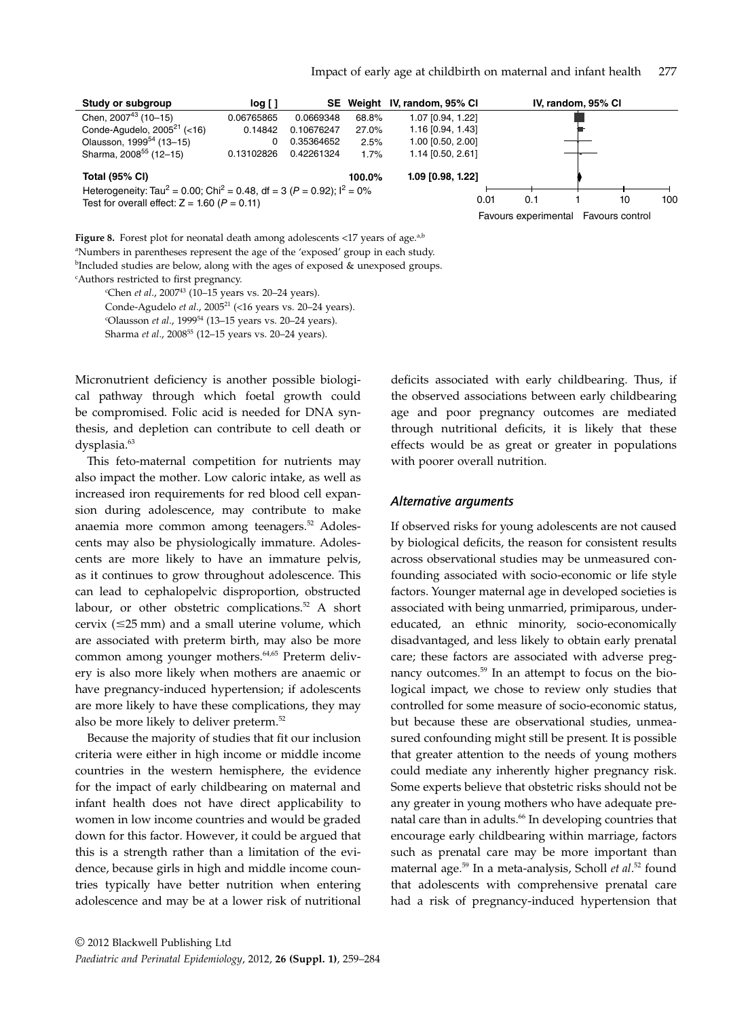

**Figure 8.** Forest plot for neonatal death among adolescents  $\langle 17 \rangle$  years of age.<sup>a,b</sup> <sup>a</sup>Numbers in parentheses represent the age of the 'exposed' group in each study. b Included studies are below, along with the ages of exposed & unexposed groups. <sup>c</sup>Authors restricted to first pregnancy.

<sup>c</sup>Chen *et al*., 2007<sup>43</sup> (10–15 years vs. 20–24 years). Conde-Agudelo *et al.*, 2005<sup>21</sup> (<16 years vs. 20-24 years). <sup>c</sup>Olausson *et al.*, 1999<sup>54</sup> (13-15 years vs. 20-24 years). Sharma *et al.*, 2008<sup>55</sup> (12-15 years vs. 20-24 years).

Micronutrient deficiency is another possible biological pathway through which foetal growth could be compromised. Folic acid is needed for DNA synthesis, and depletion can contribute to cell death or dysplasia.<sup>63</sup>

This feto-maternal competition for nutrients may also impact the mother. Low caloric intake, as well as increased iron requirements for red blood cell expansion during adolescence, may contribute to make anaemia more common among teenagers.<sup>52</sup> Adolescents may also be physiologically immature. Adolescents are more likely to have an immature pelvis, as it continues to grow throughout adolescence. This can lead to cephalopelvic disproportion, obstructed labour, or other obstetric complications.<sup>52</sup> A short  $c$ ervix ( $\leq$ 25 mm) and a small uterine volume, which are associated with preterm birth, may also be more common among younger mothers.<sup>64,65</sup> Preterm delivery is also more likely when mothers are anaemic or have pregnancy-induced hypertension; if adolescents are more likely to have these complications, they may also be more likely to deliver preterm.<sup>52</sup>

Because the majority of studies that fit our inclusion criteria were either in high income or middle income countries in the western hemisphere, the evidence for the impact of early childbearing on maternal and infant health does not have direct applicability to women in low income countries and would be graded down for this factor. However, it could be argued that this is a strength rather than a limitation of the evidence, because girls in high and middle income countries typically have better nutrition when entering adolescence and may be at a lower risk of nutritional deficits associated with early childbearing. Thus, if the observed associations between early childbearing age and poor pregnancy outcomes are mediated through nutritional deficits, it is likely that these effects would be as great or greater in populations with poorer overall nutrition.

# *Alternative arguments*

If observed risks for young adolescents are not caused by biological deficits, the reason for consistent results across observational studies may be unmeasured confounding associated with socio-economic or life style factors. Younger maternal age in developed societies is associated with being unmarried, primiparous, undereducated, an ethnic minority, socio-economically disadvantaged, and less likely to obtain early prenatal care; these factors are associated with adverse pregnancy outcomes.<sup>59</sup> In an attempt to focus on the biological impact, we chose to review only studies that controlled for some measure of socio-economic status, but because these are observational studies, unmeasured confounding might still be present. It is possible that greater attention to the needs of young mothers could mediate any inherently higher pregnancy risk. Some experts believe that obstetric risks should not be any greater in young mothers who have adequate prenatal care than in adults.<sup>66</sup> In developing countries that encourage early childbearing within marriage, factors such as prenatal care may be more important than maternal age.<sup>59</sup> In a meta-analysis, Scholl *et al*. <sup>52</sup> found that adolescents with comprehensive prenatal care had a risk of pregnancy-induced hypertension that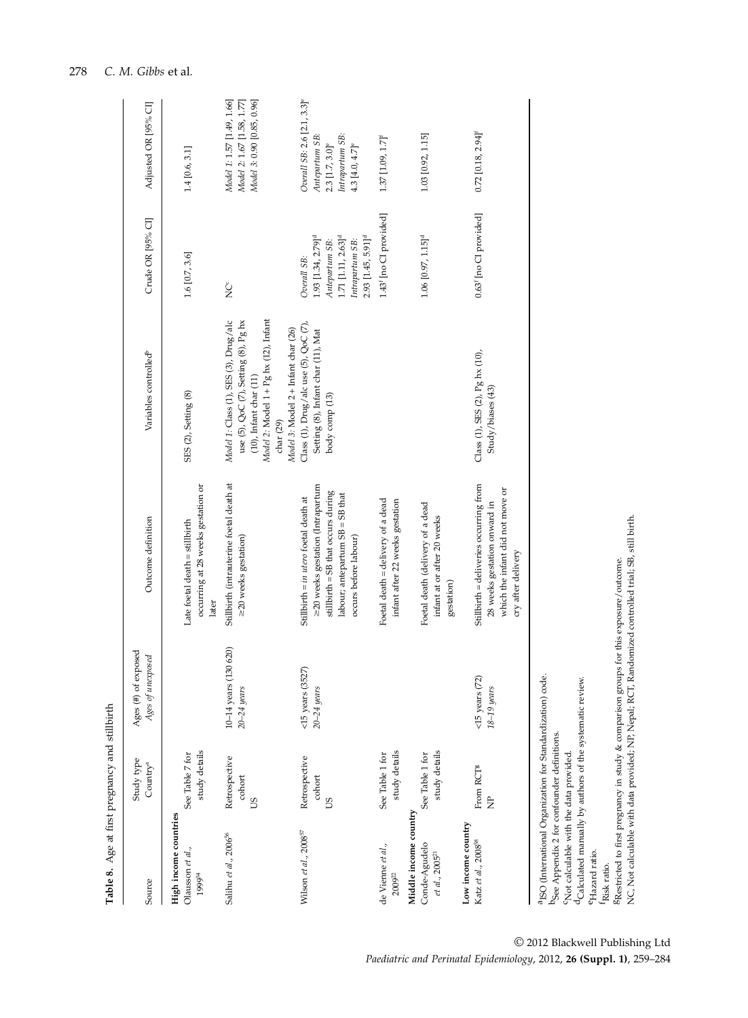| Table 8. Age at first pregnancy and stillbirth                                                                                                                                                                                                                                                                            |                                         |                                                                                        |                                                                                                                                                                                 |                                                                                                                                                                                                           |                                                                                                                                                          |                                                                                                                                |
|---------------------------------------------------------------------------------------------------------------------------------------------------------------------------------------------------------------------------------------------------------------------------------------------------------------------------|-----------------------------------------|----------------------------------------------------------------------------------------|---------------------------------------------------------------------------------------------------------------------------------------------------------------------------------|-----------------------------------------------------------------------------------------------------------------------------------------------------------------------------------------------------------|----------------------------------------------------------------------------------------------------------------------------------------------------------|--------------------------------------------------------------------------------------------------------------------------------|
| Source                                                                                                                                                                                                                                                                                                                    | Study type<br>Country <sup>a</sup>      | Ages (#) of exposed<br>Ages of unexposed                                               | Outcome definition                                                                                                                                                              | Variables controlled <sup>b</sup>                                                                                                                                                                         | Crude OR [95% CI]                                                                                                                                        | Adjusted OR [95% CI]                                                                                                           |
| High income countries<br>Olausson et al.,<br>199954                                                                                                                                                                                                                                                                       | study details<br>See Table 7 for        |                                                                                        | occurring at 28 weeks gestation or<br>Late foetal death = stillbirth<br>later                                                                                                   | SES (2), Setting (8)                                                                                                                                                                                      | 1.6 [0.7, 3.6]                                                                                                                                           | 1.4 [0.6, 3.1]                                                                                                                 |
| Salihu et al., 2006 <sup>56</sup>                                                                                                                                                                                                                                                                                         | Retrospective<br>cohort<br>SQ           | 10-14 years (130 620)<br>$20 - 24$ years                                               | Stillbirth (intrauterine foetal death at<br>≥20 weeks gestation)                                                                                                                | Model 2: Model 1 + Pg hx (12), Infant<br>Model 1: Class (1), SES (3), Drug/alc<br>use (5), QoC (7), Setting (8), Pg hx<br>Model 3: Model 2 + Infant char (26)<br>$(10)$ , Infant char $(11)$<br>char (29) | ğ                                                                                                                                                        | Model 3:0.90 [0.85, 0.96]<br>Model 2: 1.67 [1.58, 1.77]<br>Model 1: 1.57 [1.49, 1.66]                                          |
| Wilson et al., 2008 <sup>57</sup>                                                                                                                                                                                                                                                                                         | Retrospective<br>cohort<br>S            | $<$ 15 years (3527)<br>$20 - 24$ years                                                 | ≥20 weeks gestation (Intrapartum<br>stillbirth = SB that occurs during<br>labour; antepartum SB = SB that<br>Stillbirth = $in$ $utevo$ foetal death at<br>occurs before labour) | Class (1), Drug/alc use (5), QoC (7),<br>Setting (8), Infant char (11), Mat<br>body comp (13)                                                                                                             | 1.93 [1.34, 2.79] <sup>d</sup><br>$1.71$ [1.11, 2.63] <sup>d</sup><br>2.93 [1.45, 5.91] <sup>d</sup><br>Antepartum SB:<br>Intrapartum SB:<br>Overall SB: | Overall SB: 2.6 [2.1, 3.3] <sup>e</sup><br>Intrapartum SB:<br>Antepartum SB:<br>2.3 [1.7, 3.0] <sup>e</sup><br>4.3 [4.0, 4.7]° |
| de Vienne et al.,<br>$2009^{22}$                                                                                                                                                                                                                                                                                          | study details<br>See Table 1 for        |                                                                                        | Foetal death = delivery of a dead<br>infant after 22 weeks gestation                                                                                                            |                                                                                                                                                                                                           | 1.43 <sup>t</sup> [no CI provided]                                                                                                                       | $1.37$ $[1.09, 1.7]$ <sup><math>t</math></sup>                                                                                 |
| Middle income country<br>Conde-Agudelo<br>$et\ al.,$ $2005^{21}$                                                                                                                                                                                                                                                          | study details<br>See Table 1 for        |                                                                                        | Foetal death (delivery of a dead<br>infant at or after 20 weeks<br>gestation)                                                                                                   |                                                                                                                                                                                                           | $1.06 [0.97, 1.15]$ <sup>d</sup>                                                                                                                         | 1.03 [0.92, 1.15]                                                                                                              |
| Low income country<br>Katz et al., 2008 <sup>58</sup>                                                                                                                                                                                                                                                                     | From RCT <sup>8</sup><br>$\overline{z}$ | $<$ 15 years $(72)$<br>$18-19$ years                                                   | Stillbirth = deliveries occurring from<br>which the infant did not move or<br>28 weeks gestation onward in<br>cry after delivery                                                | Class (1), SES (2), Pg hx (10),<br>Study/biases (43)                                                                                                                                                      | 0.63 <sup>t</sup> [no CI provided]                                                                                                                       | $0.72$ [0.18, 2.94] <sup>#</sup>                                                                                               |
| <sup>a</sup> ISO (International Organization for Standardization) code.<br>$\mathrm{d}_{\mathrm{Calculated\,manually}}$ by authors of the systematic review.<br>bSee Appendix 2 for confounder definitions.<br><sup>C</sup> Not calculable with the data provided.<br><sup>e</sup> Hazard ratio.<br>$\rm f_{Risk}$ ratio. |                                         | BRestricted to first pregnancy in study & comparison groups for this exposure/outcome. | NC, Not calculable with data provided; NP, Nepal; RCT, Randomized controlled trial; SB, still birth.                                                                            |                                                                                                                                                                                                           |                                                                                                                                                          |                                                                                                                                |

278 *C. M. Gibbs* et al*.*

*Paediatric and Perinatal Epidemiology*, 2012, **26 (Suppl. 1)**, 259–284

© 2012 Blackwell Publishing Ltd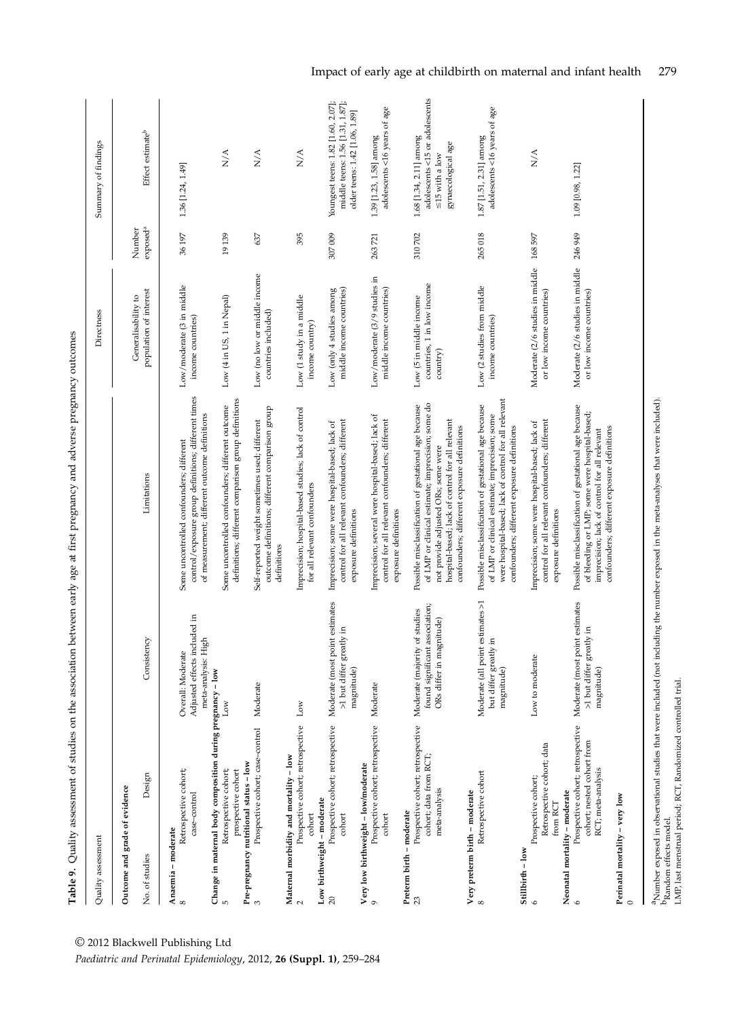| Quality assessment                                                                     |                                                                                                |                                                                                                                                                                                                                                                      | Directness                                                        |                      | Summary of findings                                                                                       |
|----------------------------------------------------------------------------------------|------------------------------------------------------------------------------------------------|------------------------------------------------------------------------------------------------------------------------------------------------------------------------------------------------------------------------------------------------------|-------------------------------------------------------------------|----------------------|-----------------------------------------------------------------------------------------------------------|
| Outcome and grade of evidence                                                          |                                                                                                |                                                                                                                                                                                                                                                      | Generalisability to                                               | Number               |                                                                                                           |
| Design<br>No. of studies                                                               | Consistency                                                                                    | Limitations                                                                                                                                                                                                                                          | population of interest                                            | exposed <sup>a</sup> | Effect estimate <sup>b</sup>                                                                              |
| Anaemia - moderate<br>$\infty$                                                         | Overall: Moderate                                                                              |                                                                                                                                                                                                                                                      |                                                                   | 36197                |                                                                                                           |
| Retrospective cohort;<br>case-control                                                  | Adjusted effects included in<br>meta-analysis: High                                            | control/exposure group definitions; different times<br>of measurement; different outcome definitions<br>Some uncontrolled confounders; different                                                                                                     | Low/moderate (3 in middle<br>income countries)                    |                      | 1.36 [1.24, 1.49]                                                                                         |
| Change in maternal body composition during pregnancy - low                             |                                                                                                |                                                                                                                                                                                                                                                      |                                                                   |                      |                                                                                                           |
| Retrospective cohort;<br>prospective cohort<br>$\overline{5}$                          | Low                                                                                            | definitions; different comparison group definitions<br>Some uncontrolled confounders; different outcome                                                                                                                                              | Low(4 in US, 1 in Nepal)                                          | 19139                | $_{\rm N/A}$                                                                                              |
| Prospective cohort; case-control<br>Pre-pregnancy nutritional status - low<br>$\infty$ | Moderate                                                                                       | outcome definitions; different comparison group<br>Self-reported weight sometimes used; different                                                                                                                                                    | Low (no low or middle income<br>countries included)               | 637                  | $\mathop{\rm N/A}\nolimits$                                                                               |
|                                                                                        |                                                                                                | definitions                                                                                                                                                                                                                                          |                                                                   |                      |                                                                                                           |
| Prospective cohort; retrospective<br>Maternal morbidity and mortality - low<br>$\sim$  | Low                                                                                            | Imprecision; hospital-based studies; lack of control                                                                                                                                                                                                 | Low (1 study in a middle                                          | 395                  | $\mathbb{N}/\mathbb{A}$                                                                                   |
| Low birthweight - moderate<br>cohort                                                   |                                                                                                | for all relevant confounders                                                                                                                                                                                                                         | income country)                                                   |                      |                                                                                                           |
| Prospective cohort; retrospective<br>cohort<br>20                                      | Moderate (most point estimates<br>greatly in<br>>1 but differ<br>magnitude)                    | control for all relevant confounders; different<br>Imprecision; some were hospital-based; lack of<br>exposure definitions                                                                                                                            | middle income countries)<br>Low (only 4 studies among             | 307009               | middle teens: 1.56 [1.31, 1.87];<br>Youngest teens: 1.82 [1.60, 2.07];<br>older teens: 1.42 [1.06, 1.89]  |
| Very low birthweight - low/moderate                                                    |                                                                                                |                                                                                                                                                                                                                                                      |                                                                   |                      |                                                                                                           |
| Prospective cohort; retrospective<br>cohort<br>$\circ$                                 | Moderate                                                                                       | Imprecision; several were hospital-based; lack of<br>control for all relevant confounders; different<br>exposure definitions                                                                                                                         | Low/moderate (3/9 studies in<br>middle income countries)          | 263721               | adolescents <16 years of age<br>1.39 [1.23, 1.58] among                                                   |
| Preterm birth - moderate                                                               |                                                                                                |                                                                                                                                                                                                                                                      |                                                                   |                      |                                                                                                           |
| Prospective cohort; retrospective<br>cohort; data from RCT;<br>meta-analysis<br>23     | found significant association;<br>Moderate (majority of studies<br>magnitude)<br>ORs differ in | of LMP or clinical estimate; imprecision; some do<br>Possible misclassification of gestational age because<br>hospital-based; lack of control for all relevant<br>confounders; different exposure definitions<br>not provide adjusted ORs; some were | countries, 1 in low income<br>Low (5 in middle income<br>country) | 310702               | adolescents <15 or adolescents<br>$1.68$ [1.34, 2.11] among<br>gynaecological age<br>$\leq$ 15 with a low |
| Very preterm birth - moderate                                                          |                                                                                                |                                                                                                                                                                                                                                                      |                                                                   |                      |                                                                                                           |
| Retrospective cohort<br>$\infty$                                                       | Moderate (all point estimates >1<br>but differ greatly in<br>magnitude)                        | were hospital-based; lack of control for all relevant<br>Possible misclassification of gestational age because<br>of LMP or clinical estimate; imprecision; some<br>confounders; different exposure definitions                                      | Low (2 studies from middle<br>income countries)                   | 265018               | adolescents <16 years of age<br>$1.87$ [1.51, 2.31] among                                                 |
| Stillbirth - low                                                                       |                                                                                                |                                                                                                                                                                                                                                                      |                                                                   |                      |                                                                                                           |
| Retrospective cohort; data<br>Prospective cohort;<br>from RCT<br>$\circ$               | Low to moderate                                                                                | control for all relevant confounders; different<br>Imprecision; some were hospital-based; lack of<br>exposure definitions                                                                                                                            | Moderate (2/6 studies in middle<br>or low income countries)       | 168597               | N/A                                                                                                       |
| Prospective cohort; retrospective<br>Neonatal mortality - moderate<br>$\circ$          | Moderate (most point estimates                                                                 | Possible misclassification of gestational age because                                                                                                                                                                                                | Moderate (2/6 studies in middle                                   | 246949               | 1.09 [0.98, 1.22]                                                                                         |
| cohort; nested cohort from<br>RCT; meta-analysis                                       | greatly in<br>>1 but differ<br>magnitude)                                                      | of bleeding or LMP; some were hospital-based;<br>confounders; different exposure definitions<br>imprecision; lack of control for all relevant                                                                                                        | or low income countries)                                          |                      |                                                                                                           |
| Perinatal mortality - very low<br>$\circ$                                              |                                                                                                |                                                                                                                                                                                                                                                      |                                                                   |                      |                                                                                                           |

Table 9. Quality assessment of studies on the association between early age at first pregnancy and adverse pregnancy outcomes **Table 9.** Quality assessment of studies on the association between early age at first pregnancy and adverse pregnancy outcomes

© 2012 Blackwell Publishing Ltd

*Paediatric and Perinatal Epidemiology*, 2012, **26 (Suppl. 1)**, 259–284

aNumber exposed in observational studies that were included (not including the number exposed in the meta-analyses that were included).

<sup>a</sup>Number exposed in observational studies that were included (not including the number exposed in the meta-analyses that were included).<br><sup>B</sup>Random effects model.<br>LMP, last menstrual period; RCT, Randomized controlled tria

bRandom effects model.

LMP, last menstrual period; RCT, Randomized controlled trial.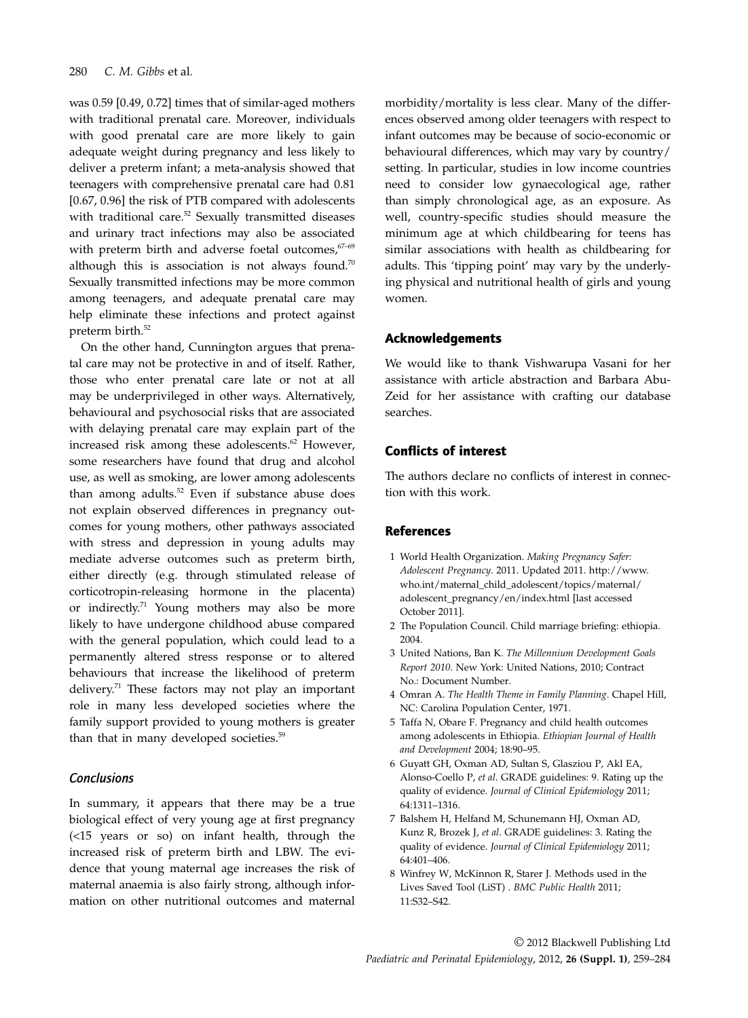was 0.59 [0.49, 0.72] times that of similar-aged mothers with traditional prenatal care. Moreover, individuals with good prenatal care are more likely to gain adequate weight during pregnancy and less likely to deliver a preterm infant; a meta-analysis showed that teenagers with comprehensive prenatal care had 0.81 [0.67, 0.96] the risk of PTB compared with adolescents with traditional care.<sup>52</sup> Sexually transmitted diseases and urinary tract infections may also be associated with preterm birth and adverse foetal outcomes, $67-69$ although this is association is not always found.<sup>70</sup> Sexually transmitted infections may be more common among teenagers, and adequate prenatal care may help eliminate these infections and protect against preterm birth.<sup>52</sup>

On the other hand, Cunnington argues that prenatal care may not be protective in and of itself. Rather, those who enter prenatal care late or not at all may be underprivileged in other ways. Alternatively, behavioural and psychosocial risks that are associated with delaying prenatal care may explain part of the increased risk among these adolescents.<sup>62</sup> However, some researchers have found that drug and alcohol use, as well as smoking, are lower among adolescents than among adults.<sup>52</sup> Even if substance abuse does not explain observed differences in pregnancy outcomes for young mothers, other pathways associated with stress and depression in young adults may mediate adverse outcomes such as preterm birth, either directly (e.g. through stimulated release of corticotropin-releasing hormone in the placenta) or indirectly.<sup>71</sup> Young mothers may also be more likely to have undergone childhood abuse compared with the general population, which could lead to a permanently altered stress response or to altered behaviours that increase the likelihood of preterm delivery.<sup>71</sup> These factors may not play an important role in many less developed societies where the family support provided to young mothers is greater than that in many developed societies.<sup>59</sup>

#### *Conclusions*

In summary, it appears that there may be a true biological effect of very young age at first pregnancy (<15 years or so) on infant health, through the increased risk of preterm birth and LBW. The evidence that young maternal age increases the risk of maternal anaemia is also fairly strong, although information on other nutritional outcomes and maternal

morbidity/mortality is less clear. Many of the differences observed among older teenagers with respect to infant outcomes may be because of socio-economic or behavioural differences, which may vary by country/ setting. In particular, studies in low income countries need to consider low gynaecological age, rather than simply chronological age, as an exposure. As well, country-specific studies should measure the minimum age at which childbearing for teens has similar associations with health as childbearing for adults. This 'tipping point' may vary by the underlying physical and nutritional health of girls and young women.

#### Acknowledgements

We would like to thank Vishwarupa Vasani for her assistance with article abstraction and Barbara Abu-Zeid for her assistance with crafting our database searches.

# Conflicts of interest

The authors declare no conflicts of interest in connection with this work.

# References

- 1 World Health Organization. *Making Pregnancy Safer: Adolescent Pregnancy*. 2011. Updated 2011. http://www. who.int/maternal\_child\_adolescent/topics/maternal/ adolescent\_pregnancy/en/index.html [last accessed October 2011].
- 2 The Population Council. Child marriage briefing: ethiopia. 2004.
- 3 United Nations, Ban K. *The Millennium Development Goals Report 2010*. New York: United Nations, 2010; Contract No.: Document Number.
- 4 Omran A. *The Health Theme in Family Planning*. Chapel Hill, NC: Carolina Population Center, 1971.
- 5 Taffa N, Obare F. Pregnancy and child health outcomes among adolescents in Ethiopia. *Ethiopian Journal of Health and Development* 2004; 18:90–95.
- 6 Guyatt GH, Oxman AD, Sultan S, Glasziou P, Akl EA, Alonso-Coello P, *et al*. GRADE guidelines: 9. Rating up the quality of evidence. *Journal of Clinical Epidemiology* 2011; 64:1311–1316.
- 7 Balshem H, Helfand M, Schunemann HJ, Oxman AD, Kunz R, Brozek J, *et al*. GRADE guidelines: 3. Rating the quality of evidence. *Journal of Clinical Epidemiology* 2011; 64:401–406.
- 8 Winfrey W, McKinnon R, Starer J. Methods used in the Lives Saved Tool (LiST) . *BMC Public Health* 2011; 11:S32–S42.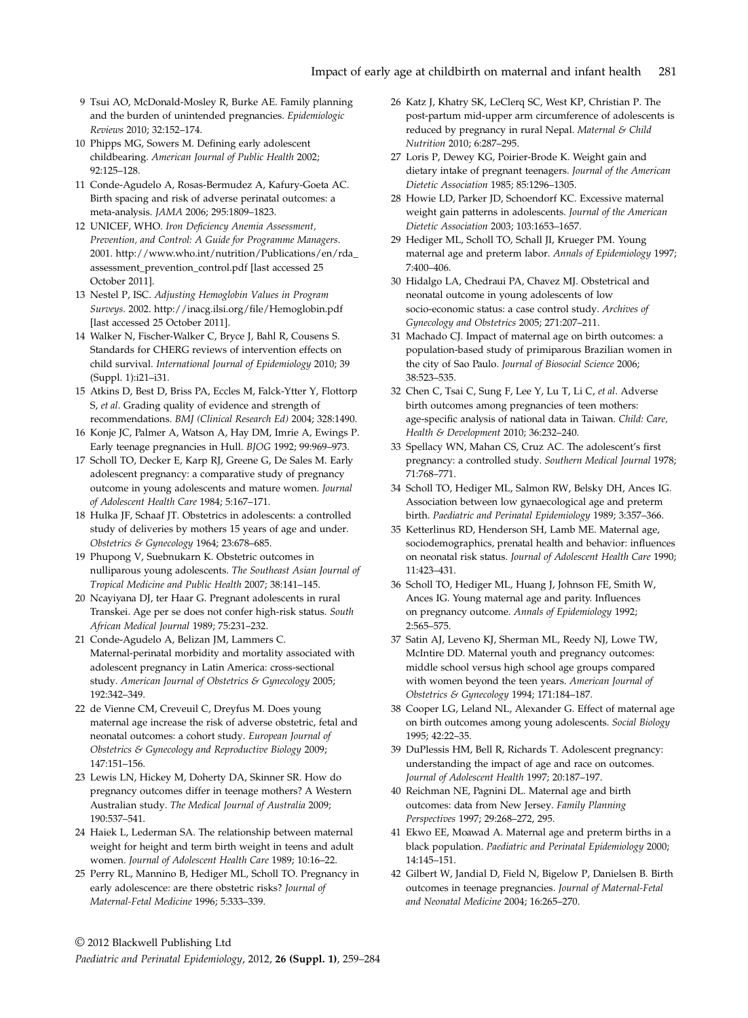- 9 Tsui AO, McDonald-Mosley R, Burke AE. Family planning and the burden of unintended pregnancies. *Epidemiologic Reviews* 2010; 32:152–174.
- 10 Phipps MG, Sowers M. Defining early adolescent childbearing. *American Journal of Public Health* 2002; 92:125–128.
- 11 Conde-Agudelo A, Rosas-Bermudez A, Kafury-Goeta AC. Birth spacing and risk of adverse perinatal outcomes: a meta-analysis. *JAMA* 2006; 295:1809–1823.
- 12 UNICEF, WHO. *Iron Deficiency Anemia Assessment, Prevention, and Control: A Guide for Programme Managers*. 2001. http://www.who.int/nutrition/Publications/en/rda\_ assessment\_prevention\_control.pdf [last accessed 25 October 2011].
- 13 Nestel P, ISC. *Adjusting Hemoglobin Values in Program Surveys*. 2002. http://inacg.ilsi.org/file/Hemoglobin.pdf [last accessed 25 October 2011].
- 14 Walker N, Fischer-Walker C, Bryce J, Bahl R, Cousens S. Standards for CHERG reviews of intervention effects on child survival. *International Journal of Epidemiology* 2010; 39 (Suppl. 1):i21–i31.
- 15 Atkins D, Best D, Briss PA, Eccles M, Falck-Ytter Y, Flottorp S, *et al*. Grading quality of evidence and strength of recommendations. *BMJ (Clinical Research Ed)* 2004; 328:1490.
- 16 Konje JC, Palmer A, Watson A, Hay DM, Imrie A, Ewings P. Early teenage pregnancies in Hull. *BJOG* 1992; 99:969–973.
- 17 Scholl TO, Decker E, Karp RJ, Greene G, De Sales M. Early adolescent pregnancy: a comparative study of pregnancy outcome in young adolescents and mature women. *Journal of Adolescent Health Care* 1984; 5:167–171.
- 18 Hulka JF, Schaaf JT. Obstetrics in adolescents: a controlled study of deliveries by mothers 15 years of age and under. *Obstetrics & Gynecology* 1964; 23:678–685.
- 19 Phupong V, Suebnukarn K. Obstetric outcomes in nulliparous young adolescents. *The Southeast Asian Journal of Tropical Medicine and Public Health* 2007; 38:141–145.
- 20 Ncayiyana DJ, ter Haar G. Pregnant adolescents in rural Transkei. Age per se does not confer high-risk status. *South African Medical Journal* 1989; 75:231–232.
- 21 Conde-Agudelo A, Belizan JM, Lammers C. Maternal-perinatal morbidity and mortality associated with adolescent pregnancy in Latin America: cross-sectional study. *American Journal of Obstetrics & Gynecology* 2005; 192:342–349.
- 22 de Vienne CM, Creveuil C, Dreyfus M. Does young maternal age increase the risk of adverse obstetric, fetal and neonatal outcomes: a cohort study. *European Journal of Obstetrics & Gynecology and Reproductive Biology* 2009; 147:151–156.
- 23 Lewis LN, Hickey M, Doherty DA, Skinner SR. How do pregnancy outcomes differ in teenage mothers? A Western Australian study. *The Medical Journal of Australia* 2009; 190:537–541.
- 24 Haiek L, Lederman SA. The relationship between maternal weight for height and term birth weight in teens and adult women. *Journal of Adolescent Health Care* 1989; 10:16–22.
- 25 Perry RL, Mannino B, Hediger ML, Scholl TO. Pregnancy in early adolescence: are there obstetric risks? *Journal of Maternal-Fetal Medicine* 1996; 5:333–339.
- 26 Katz J, Khatry SK, LeClerq SC, West KP, Christian P. The post-partum mid-upper arm circumference of adolescents is reduced by pregnancy in rural Nepal. *Maternal & Child Nutrition* 2010; 6:287–295.
- 27 Loris P, Dewey KG, Poirier-Brode K. Weight gain and dietary intake of pregnant teenagers. *Journal of the American Dietetic Association* 1985; 85:1296–1305.
- 28 Howie LD, Parker JD, Schoendorf KC. Excessive maternal weight gain patterns in adolescents. *Journal of the American Dietetic Association* 2003; 103:1653–1657.
- 29 Hediger ML, Scholl TO, Schall JI, Krueger PM. Young maternal age and preterm labor. *Annals of Epidemiology* 1997; 7:400–406.
- 30 Hidalgo LA, Chedraui PA, Chavez MJ. Obstetrical and neonatal outcome in young adolescents of low socio-economic status: a case control study. *Archives of Gynecology and Obstetrics* 2005; 271:207–211.
- 31 Machado CJ. Impact of maternal age on birth outcomes: a population-based study of primiparous Brazilian women in the city of Sao Paulo. *Journal of Biosocial Science* 2006; 38:523–535.
- 32 Chen C, Tsai C, Sung F, Lee Y, Lu T, Li C, *et al*. Adverse birth outcomes among pregnancies of teen mothers: age-specific analysis of national data in Taiwan. *Child: Care, Health & Development* 2010; 36:232–240.
- 33 Spellacy WN, Mahan CS, Cruz AC. The adolescent's first pregnancy: a controlled study. *Southern Medical Journal* 1978; 71:768–771.
- 34 Scholl TO, Hediger ML, Salmon RW, Belsky DH, Ances IG. Association between low gynaecological age and preterm birth. *Paediatric and Perinatal Epidemiology* 1989; 3:357–366.
- 35 Ketterlinus RD, Henderson SH, Lamb ME. Maternal age, sociodemographics, prenatal health and behavior: influences on neonatal risk status. *Journal of Adolescent Health Care* 1990; 11:423–431.
- 36 Scholl TO, Hediger ML, Huang J, Johnson FE, Smith W, Ances IG. Young maternal age and parity. Influences on pregnancy outcome. *Annals of Epidemiology* 1992; 2:565–575.
- 37 Satin AJ, Leveno KJ, Sherman ML, Reedy NJ, Lowe TW, McIntire DD. Maternal youth and pregnancy outcomes: middle school versus high school age groups compared with women beyond the teen years. *American Journal of Obstetrics & Gynecology* 1994; 171:184–187.
- 38 Cooper LG, Leland NL, Alexander G. Effect of maternal age on birth outcomes among young adolescents. *Social Biology* 1995; 42:22–35.
- 39 DuPlessis HM, Bell R, Richards T. Adolescent pregnancy: understanding the impact of age and race on outcomes. *Journal of Adolescent Health* 1997; 20:187–197.
- 40 Reichman NE, Pagnini DL. Maternal age and birth outcomes: data from New Jersey. *Family Planning Perspectives* 1997; 29:268–272, 295.
- 41 Ekwo EE, Moawad A. Maternal age and preterm births in a black population. *Paediatric and Perinatal Epidemiology* 2000; 14:145–151.
- 42 Gilbert W, Jandial D, Field N, Bigelow P, Danielsen B. Birth outcomes in teenage pregnancies. *Journal of Maternal-Fetal and Neonatal Medicine* 2004; 16:265–270.

*Paediatric and Perinatal Epidemiology*, 2012, **26 (Suppl. 1)**, 259–284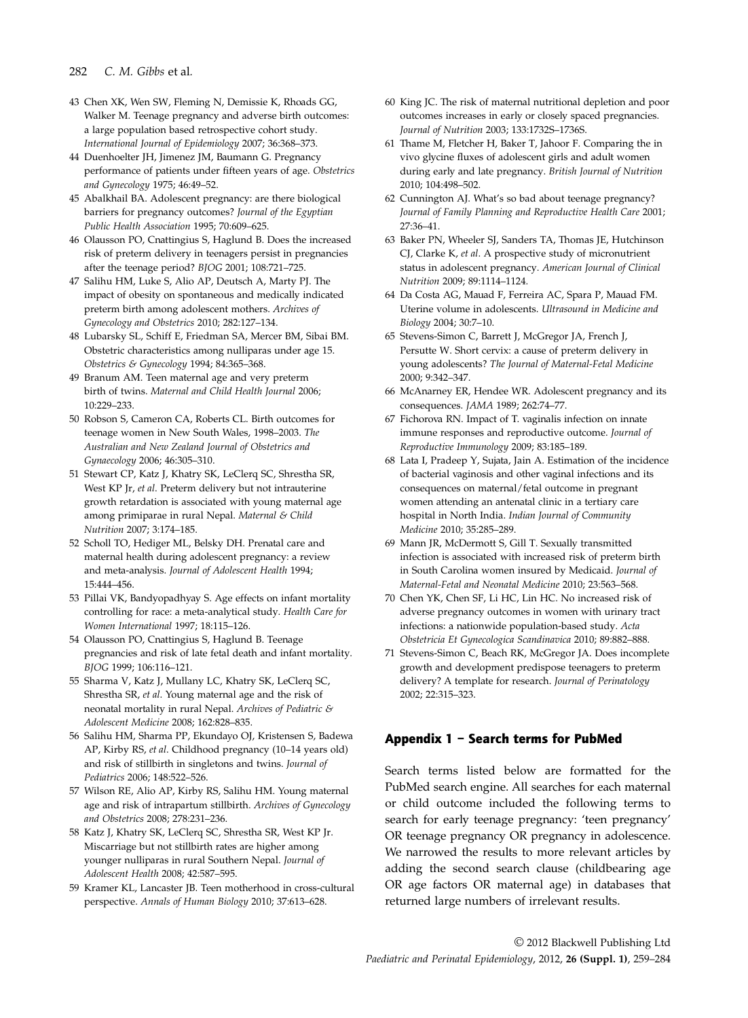#### 282 *C. M. Gibbs* et al*.*

- 43 Chen XK, Wen SW, Fleming N, Demissie K, Rhoads GG, Walker M. Teenage pregnancy and adverse birth outcomes: a large population based retrospective cohort study. *International Journal of Epidemiology* 2007; 36:368–373.
- 44 Duenhoelter JH, Jimenez JM, Baumann G. Pregnancy performance of patients under fifteen years of age. *Obstetrics and Gynecology* 1975; 46:49–52.
- 45 Abalkhail BA. Adolescent pregnancy: are there biological barriers for pregnancy outcomes? *Journal of the Egyptian Public Health Association* 1995; 70:609–625.
- 46 Olausson PO, Cnattingius S, Haglund B. Does the increased risk of preterm delivery in teenagers persist in pregnancies after the teenage period? *BJOG* 2001; 108:721–725.
- 47 Salihu HM, Luke S, Alio AP, Deutsch A, Marty PJ. The impact of obesity on spontaneous and medically indicated preterm birth among adolescent mothers. *Archives of Gynecology and Obstetrics* 2010; 282:127–134.
- 48 Lubarsky SL, Schiff E, Friedman SA, Mercer BM, Sibai BM. Obstetric characteristics among nulliparas under age 15. *Obstetrics & Gynecology* 1994; 84:365–368.
- 49 Branum AM. Teen maternal age and very preterm birth of twins. *Maternal and Child Health Journal* 2006; 10:229–233.
- 50 Robson S, Cameron CA, Roberts CL. Birth outcomes for teenage women in New South Wales, 1998–2003. *The Australian and New Zealand Journal of Obstetrics and Gynaecology* 2006; 46:305–310.
- 51 Stewart CP, Katz J, Khatry SK, LeClerq SC, Shrestha SR, West KP Jr, *et al*. Preterm delivery but not intrauterine growth retardation is associated with young maternal age among primiparae in rural Nepal. *Maternal & Child Nutrition* 2007; 3:174–185.
- 52 Scholl TO, Hediger ML, Belsky DH. Prenatal care and maternal health during adolescent pregnancy: a review and meta-analysis. *Journal of Adolescent Health* 1994; 15:444–456.
- 53 Pillai VK, Bandyopadhyay S. Age effects on infant mortality controlling for race: a meta-analytical study. *Health Care for Women International* 1997; 18:115–126.
- 54 Olausson PO, Cnattingius S, Haglund B. Teenage pregnancies and risk of late fetal death and infant mortality. *BJOG* 1999; 106:116–121.
- 55 Sharma V, Katz J, Mullany LC, Khatry SK, LeClerq SC, Shrestha SR, *et al*. Young maternal age and the risk of neonatal mortality in rural Nepal. *Archives of Pediatric & Adolescent Medicine* 2008; 162:828–835.
- 56 Salihu HM, Sharma PP, Ekundayo OJ, Kristensen S, Badewa AP, Kirby RS, *et al*. Childhood pregnancy (10–14 years old) and risk of stillbirth in singletons and twins. *Journal of Pediatrics* 2006; 148:522–526.
- 57 Wilson RE, Alio AP, Kirby RS, Salihu HM. Young maternal age and risk of intrapartum stillbirth. *Archives of Gynecology and Obstetrics* 2008; 278:231–236.
- 58 Katz J, Khatry SK, LeClerq SC, Shrestha SR, West KP Jr. Miscarriage but not stillbirth rates are higher among younger nulliparas in rural Southern Nepal. *Journal of Adolescent Health* 2008; 42:587–595.
- 59 Kramer KL, Lancaster JB. Teen motherhood in cross-cultural perspective. *Annals of Human Biology* 2010; 37:613–628.
- 60 King JC. The risk of maternal nutritional depletion and poor outcomes increases in early or closely spaced pregnancies. *Journal of Nutrition* 2003; 133:1732S–1736S.
- 61 Thame M, Fletcher H, Baker T, Jahoor F. Comparing the in vivo glycine fluxes of adolescent girls and adult women during early and late pregnancy. *British Journal of Nutrition* 2010; 104:498–502.
- 62 Cunnington AJ. What's so bad about teenage pregnancy? *Journal of Family Planning and Reproductive Health Care* 2001; 27:36–41.
- 63 Baker PN, Wheeler SJ, Sanders TA, Thomas JE, Hutchinson CJ, Clarke K, *et al*. A prospective study of micronutrient status in adolescent pregnancy. *American Journal of Clinical Nutrition* 2009; 89:1114–1124.
- 64 Da Costa AG, Mauad F, Ferreira AC, Spara P, Mauad FM. Uterine volume in adolescents. *Ultrasound in Medicine and Biology* 2004; 30:7–10.
- 65 Stevens-Simon C, Barrett J, McGregor JA, French J, Persutte W. Short cervix: a cause of preterm delivery in young adolescents? *The Journal of Maternal-Fetal Medicine* 2000; 9:342–347.
- 66 McAnarney ER, Hendee WR. Adolescent pregnancy and its consequences. *JAMA* 1989; 262:74–77.
- 67 Fichorova RN. Impact of T. vaginalis infection on innate immune responses and reproductive outcome. *Journal of Reproductive Immunology* 2009; 83:185–189.
- 68 Lata I, Pradeep Y, Sujata, Jain A. Estimation of the incidence of bacterial vaginosis and other vaginal infections and its consequences on maternal/fetal outcome in pregnant women attending an antenatal clinic in a tertiary care hospital in North India. *Indian Journal of Community Medicine* 2010; 35:285–289.
- 69 Mann JR, McDermott S, Gill T. Sexually transmitted infection is associated with increased risk of preterm birth in South Carolina women insured by Medicaid. *Journal of Maternal-Fetal and Neonatal Medicine* 2010; 23:563–568.
- 70 Chen YK, Chen SF, Li HC, Lin HC. No increased risk of adverse pregnancy outcomes in women with urinary tract infections: a nationwide population-based study. *Acta Obstetricia Et Gynecologica Scandinavica* 2010; 89:882–888.
- 71 Stevens-Simon C, Beach RK, McGregor JA. Does incomplete growth and development predispose teenagers to preterm delivery? A template for research. *Journal of Perinatology* 2002; 22:315–323.

# Appendix 1 – Search terms for PubMed

Search terms listed below are formatted for the PubMed search engine. All searches for each maternal or child outcome included the following terms to search for early teenage pregnancy: 'teen pregnancy' OR teenage pregnancy OR pregnancy in adolescence. We narrowed the results to more relevant articles by adding the second search clause (childbearing age OR age factors OR maternal age) in databases that returned large numbers of irrelevant results.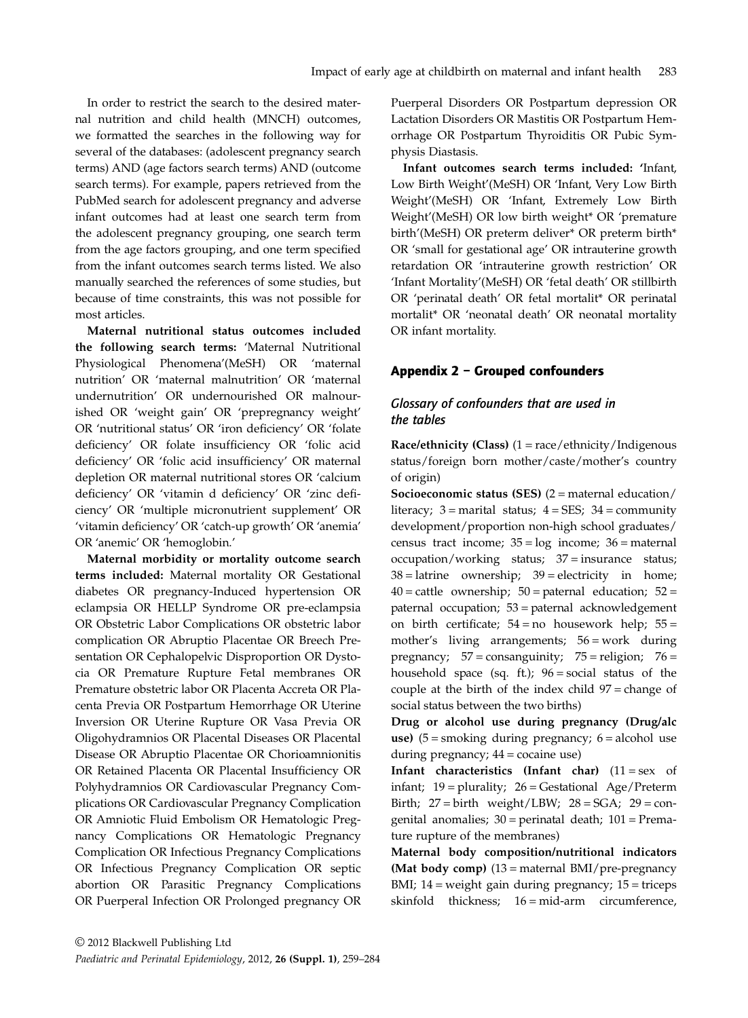In order to restrict the search to the desired maternal nutrition and child health (MNCH) outcomes, we formatted the searches in the following way for several of the databases: (adolescent pregnancy search terms) AND (age factors search terms) AND (outcome search terms). For example, papers retrieved from the PubMed search for adolescent pregnancy and adverse infant outcomes had at least one search term from the adolescent pregnancy grouping, one search term from the age factors grouping, and one term specified from the infant outcomes search terms listed. We also manually searched the references of some studies, but because of time constraints, this was not possible for most articles.

**Maternal nutritional status outcomes included the following search terms:** 'Maternal Nutritional Physiological Phenomena'(MeSH) OR 'maternal nutrition' OR 'maternal malnutrition' OR 'maternal undernutrition' OR undernourished OR malnourished OR 'weight gain' OR 'prepregnancy weight' OR 'nutritional status' OR 'iron deficiency' OR 'folate deficiency' OR folate insufficiency OR 'folic acid deficiency' OR 'folic acid insufficiency' OR maternal depletion OR maternal nutritional stores OR 'calcium deficiency' OR 'vitamin d deficiency' OR 'zinc deficiency' OR 'multiple micronutrient supplement' OR 'vitamin deficiency' OR 'catch-up growth' OR 'anemia' OR 'anemic' OR 'hemoglobin.'

**Maternal morbidity or mortality outcome search terms included:** Maternal mortality OR Gestational diabetes OR pregnancy-Induced hypertension OR eclampsia OR HELLP Syndrome OR pre-eclampsia OR Obstetric Labor Complications OR obstetric labor complication OR Abruptio Placentae OR Breech Presentation OR Cephalopelvic Disproportion OR Dystocia OR Premature Rupture Fetal membranes OR Premature obstetric labor OR Placenta Accreta OR Placenta Previa OR Postpartum Hemorrhage OR Uterine Inversion OR Uterine Rupture OR Vasa Previa OR Oligohydramnios OR Placental Diseases OR Placental Disease OR Abruptio Placentae OR Chorioamnionitis OR Retained Placenta OR Placental Insufficiency OR Polyhydramnios OR Cardiovascular Pregnancy Complications OR Cardiovascular Pregnancy Complication OR Amniotic Fluid Embolism OR Hematologic Pregnancy Complications OR Hematologic Pregnancy Complication OR Infectious Pregnancy Complications OR Infectious Pregnancy Complication OR septic abortion OR Parasitic Pregnancy Complications OR Puerperal Infection OR Prolonged pregnancy OR

Puerperal Disorders OR Postpartum depression OR Lactation Disorders OR Mastitis OR Postpartum Hemorrhage OR Postpartum Thyroiditis OR Pubic Symphysis Diastasis.

**Infant outcomes search terms included: '**Infant, Low Birth Weight'(MeSH) OR 'Infant, Very Low Birth Weight'(MeSH) OR 'Infant, Extremely Low Birth Weight'(MeSH) OR low birth weight\* OR 'premature birth'(MeSH) OR preterm deliver\* OR preterm birth\* OR 'small for gestational age' OR intrauterine growth retardation OR 'intrauterine growth restriction' OR 'Infant Mortality'(MeSH) OR 'fetal death' OR stillbirth OR 'perinatal death' OR fetal mortalit\* OR perinatal mortalit\* OR 'neonatal death' OR neonatal mortality OR infant mortality.

# Appendix 2 – Grouped confounders

# *Glossary of confounders that are used in the tables*

**Race/ethnicity (Class)** (1 = race/ethnicity/Indigenous status/foreign born mother/caste/mother's country of origin)

**Socioeconomic status (SES)** (2 = maternal education/ literacy;  $3 =$  marital status;  $4 =$  SES;  $34 =$  community development/proportion non-high school graduates/ census tract income;  $35 = log$  income;  $36 =$  maternal occupation/working status; 37 = insurance status;  $38 =$  latrine ownership;  $39 =$  electricity in home;  $40 =$  cattle ownership;  $50 =$  paternal education;  $52 =$ paternal occupation; 53 = paternal acknowledgement on birth certificate;  $54 = no$  housework help;  $55 =$ mother's living arrangements; 56 = work during pregnancy;  $57 = \text{consanguinity}$ ;  $75 = \text{religion}$ ;  $76 =$ household space (sq. ft.); 96 = social status of the couple at the birth of the index child 97 = change of social status between the two births)

**Drug or alcohol use during pregnancy (Drug/alc** use)  $(5 =$ smoking during pregnancy;  $6 =$ alcohol use during pregnancy; 44 = cocaine use)

**Infant characteristics (Infant char)** (11 = sex of infant; 19 = plurality; 26 = Gestational Age/Preterm Birth;  $27 = \text{birth}$  weight/LBW;  $28 = \text{SGA}$ ;  $29 = \text{con}$ genital anomalies;  $30 =$  perinatal death;  $101 =$  Premature rupture of the membranes)

**Maternal body composition/nutritional indicators (Mat body comp)** (13 = maternal BMI/pre-pregnancy BMI;  $14$  = weight gain during pregnancy;  $15$  = triceps skinfold thickness; 16 = mid-arm circumference,